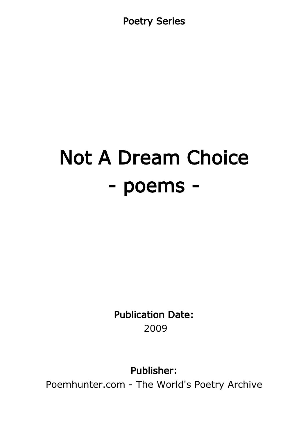Poetry Series

# Not A Dream Choice - poems -

Publication Date: 2009

Publisher:

Poemhunter.com - The World's Poetry Archive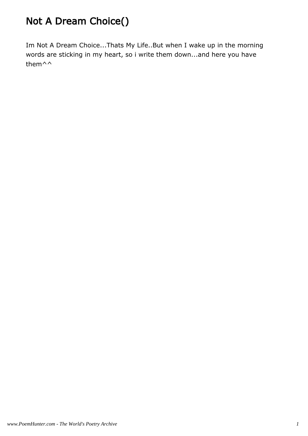# Not A Dream Choice()

Im Not A Dream Choice...Thats My Life..But when I wake up in the morning words are sticking in my heart, so i write them down...and here you have them^^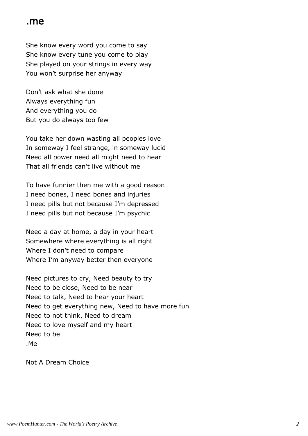#### .me

She know every word you come to say She know every tune you come to play She played on your strings in every way You won't surprise her anyway

Don't ask what she done Always everything fun And everything you do But you do always too few

You take her down wasting all peoples love In someway I feel strange, in someway lucid Need all power need all might need to hear That all friends can't live without me

To have funnier then me with a good reason I need bones, I need bones and injuries I need pills but not because I'm depressed I need pills but not because I'm psychic

Need a day at home, a day in your heart Somewhere where everything is all right Where I don't need to compare Where I'm anyway better then everyone

Need pictures to cry, Need beauty to try Need to be close, Need to be near Need to talk, Need to hear your heart Need to get everything new, Need to have more fun Need to not think, Need to dream Need to love myself and my heart Need to be  $M_{\Theta}$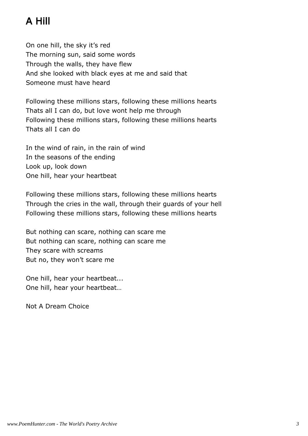# A Hill

On one hill, the sky it's red The morning sun, said some words Through the walls, they have flew And she looked with black eyes at me and said that Someone must have heard

Following these millions stars, following these millions hearts Thats all I can do, but love wont help me through Following these millions stars, following these millions hearts Thats all I can do

In the wind of rain, in the rain of wind In the seasons of the ending Look up, look down One hill, hear your heartbeat

Following these millions stars, following these millions hearts Through the cries in the wall, through their guards of your hell Following these millions stars, following these millions hearts

But nothing can scare, nothing can scare me But nothing can scare, nothing can scare me They scare with screams But no, they won't scare me

One hill, hear your heartbeat... One hill, hear your heartbeat…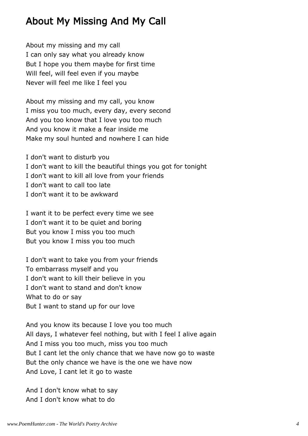# About My Missing And My Call

About my missing and my call I can only say what you already know But I hope you them maybe for first time Will feel, will feel even if you maybe Never will feel me like I feel you

About my missing and my call, you know I miss you too much, every day, every second And you too know that I love you too much And you know it make a fear inside me Make my soul hunted and nowhere I can hide

I don't want to disturb you I don't want to kill the beautiful things you got for tonight I don't want to kill all love from your friends I don't want to call too late I don't want it to be awkward

I want it to be perfect every time we see I don't want it to be quiet and boring But you know I miss you too much But you know I miss you too much

I don't want to take you from your friends To embarrass myself and you I don't want to kill their believe in you I don't want to stand and don't know What to do or say But I want to stand up for our love

And you know its because I love you too much All days, I whatever feel nothing, but with I feel I alive again And I miss you too much, miss you too much But I cant let the only chance that we have now go to waste But the only chance we have is the one we have now And Love, I cant let it go to waste

And I don't know what to say And I don't know what to do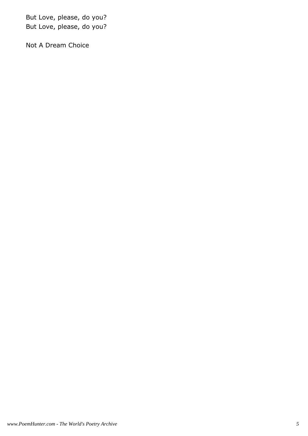But Love, please, do you? But Love, please, do you?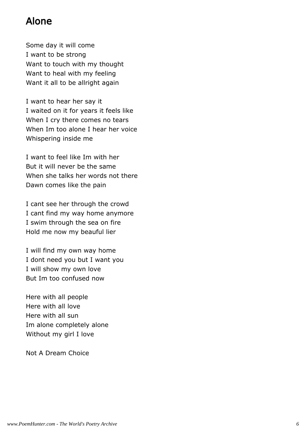# Alone

Some day it will come I want to be strong Want to touch with my thought Want to heal with my feeling Want it all to be allright again

I want to hear her say it I waited on it for years it feels like When I cry there comes no tears When Im too alone I hear her voice Whispering inside me

I want to feel like Im with her But it will never be the same When she talks her words not there Dawn comes like the pain

I cant see her through the crowd I cant find my way home anymore I swim through the sea on fire Hold me now my beauful lier

I will find my own way home I dont need you but I want you I will show my own love But Im too confused now

Here with all people Here with all love Here with all sun Im alone completely alone Without my girl I love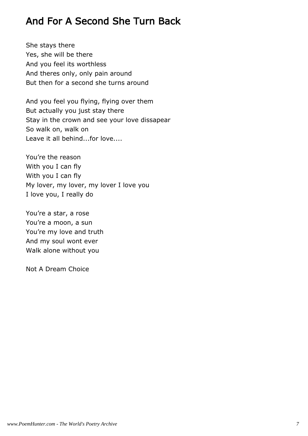# And For A Second She Turn Back

She stays there Yes, she will be there And you feel its worthless And theres only, only pain around But then for a second she turns around

And you feel you flying, flying over them But actually you just stay there Stay in the crown and see your love dissapear So walk on, walk on Leave it all behind...for love....

You're the reason With you I can fly With you I can fly My lover, my lover, my lover I love you I love you, I really do

You're a star, a rose You're a moon, a sun You're my love and truth And my soul wont ever Walk alone without you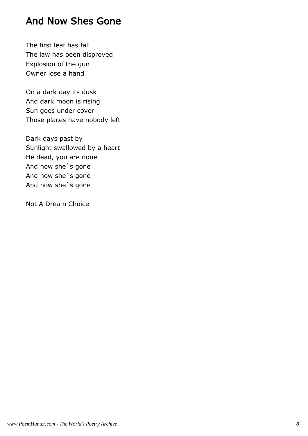# And Now Shes Gone

The first leaf has fall The law has been disproved Explosion of the gun Owner lose a hand

On a dark day its dusk And dark moon is rising Sun goes under cover Those places have nobody left

Dark days past by Sunlight swallowed by a heart He dead, you are none And now she`s gone And now she`s gone And now she`s gone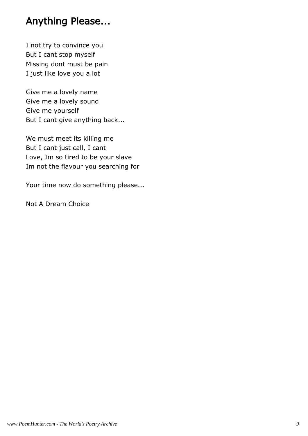# Anything Please...

I not try to convince you But I cant stop myself Missing dont must be pain I just like love you a lot

Give me a lovely name Give me a lovely sound Give me yourself But I cant give anything back...

We must meet its killing me But I cant just call, I cant Love, Im so tired to be your slave Im not the flavour you searching for

Your time now do something please...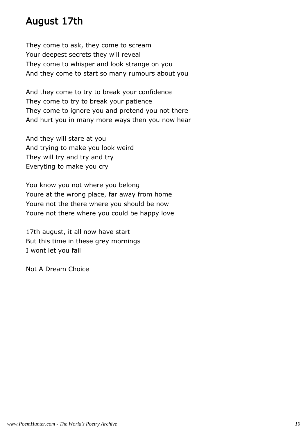# August 17th

They come to ask, they come to scream Your deepest secrets they will reveal They come to whisper and look strange on you And they come to start so many rumours about you

And they come to try to break your confidence They come to try to break your patience They come to ignore you and pretend you not there And hurt you in many more ways then you now hear

And they will stare at you And trying to make you look weird They will try and try and try Everyting to make you cry

You know you not where you belong Youre at the wrong place, far away from home Youre not the there where you should be now Youre not there where you could be happy love

17th august, it all now have start But this time in these grey mornings I wont let you fall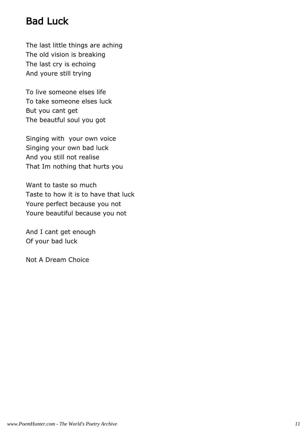# Bad Luck

The last little things are aching The old vision is breaking The last cry is echoing And youre still trying

To live someone elses life To take someone elses luck But you cant get The beautful soul you got

Singing with your own voice Singing your own bad luck And you still not realise That Im nothing that hurts you

Want to taste so much Taste to how it is to have that luck Youre perfect because you not Youre beautiful because you not

And I cant get enough Of your bad luck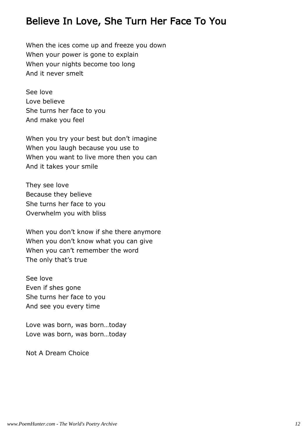# Believe In Love, She Turn Her Face To You

When the ices come up and freeze you down When your power is gone to explain When your nights become too long And it never smelt

See love Love believe She turns her face to you And make you feel

When you try your best but don't imagine When you laugh because you use to When you want to live more then you can And it takes your smile

They see love Because they believe She turns her face to you Overwhelm you with bliss

When you don't know if she there anymore When you don't know what you can give When you can't remember the word The only that's true

See love Even if shes gone She turns her face to you And see you every time

Love was born, was born…today Love was born, was born…today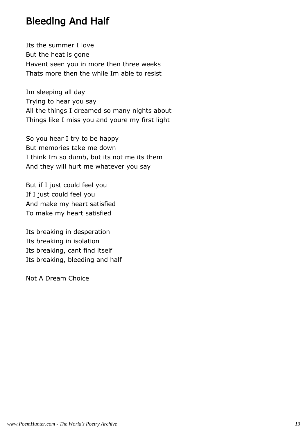# Bleeding And Half

Its the summer I love But the heat is gone Havent seen you in more then three weeks Thats more then the while Im able to resist

Im sleeping all day Trying to hear you say All the things I dreamed so many nights about Things like I miss you and youre my first light

So you hear I try to be happy But memories take me down I think Im so dumb, but its not me its them And they will hurt me whatever you say

But if I just could feel you If I just could feel you And make my heart satisfied To make my heart satisfied

Its breaking in desperation Its breaking in isolation Its breaking, cant find itself Its breaking, bleeding and half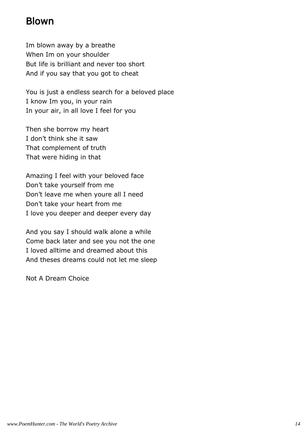# Blown

Im blown away by a breathe When Im on your shoulder But life is brilliant and never too short And if you say that you got to cheat

You is just a endless search for a beloved place I know Im you, in your rain In your air, in all love I feel for you

Then she borrow my heart I don't think she it saw That complement of truth That were hiding in that

Amazing I feel with your beloved face Don't take yourself from me Don't leave me when youre all I need Don't take your heart from me I love you deeper and deeper every day

And you say I should walk alone a while Come back later and see you not the one I loved alltime and dreamed about this And theses dreams could not let me sleep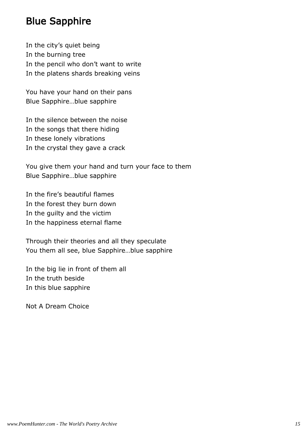# Blue Sapphire

In the city's quiet being In the burning tree In the pencil who don't want to write In the platens shards breaking veins

You have your hand on their pans Blue Sapphire…blue sapphire

In the silence between the noise In the songs that there hiding In these lonely vibrations In the crystal they gave a crack

You give them your hand and turn your face to them Blue Sapphire…blue sapphire

In the fire's beautiful flames In the forest they burn down In the guilty and the victim In the happiness eternal flame

Through their theories and all they speculate You them all see, blue Sapphire…blue sapphire

In the big lie in front of them all In the truth beside In this blue sapphire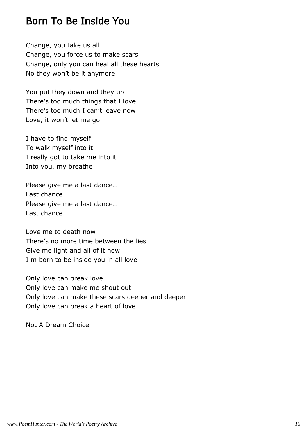# Born To Be Inside You

Change, you take us all Change, you force us to make scars Change, only you can heal all these hearts No they won't be it anymore

You put they down and they up There's too much things that I love There's too much I can't leave now Love, it won't let me go

I have to find myself To walk myself into it I really got to take me into it Into you, my breathe

Please give me a last dance… Last chance… Please give me a last dance… Last chance…

Love me to death now There's no more time between the lies Give me light and all of it now I m born to be inside you in all love

Only love can break love Only love can make me shout out Only love can make these scars deeper and deeper Only love can break a heart of love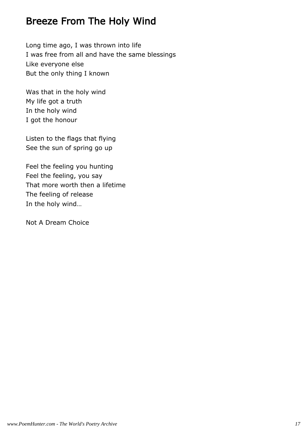# Breeze From The Holy Wind

Long time ago, I was thrown into life I was free from all and have the same blessings Like everyone else But the only thing I known

Was that in the holy wind My life got a truth In the holy wind I got the honour

Listen to the flags that flying See the sun of spring go up

Feel the feeling you hunting Feel the feeling, you say That more worth then a lifetime The feeling of release In the holy wind…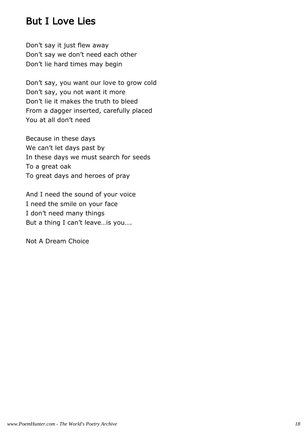# But I Love Lies

Don't say it just flew away Don't say we don't need each other Don't lie hard times may begin

Don't say, you want our love to grow cold Don't say, you not want it more Don't lie it makes the truth to bleed From a dagger inserted, carefully placed You at all don't need

Because in these days We can't let days past by In these days we must search for seeds To a great oak To great days and heroes of pray

And I need the sound of your voice I need the smile on your face I don't need many things But a thing I can't leave…is you….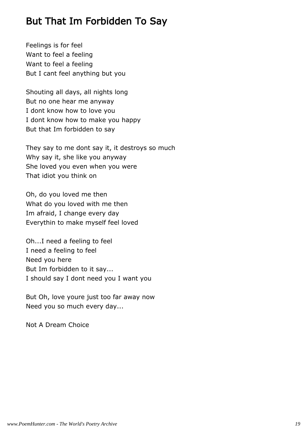# But That Im Forbidden To Say

Feelings is for feel Want to feel a feeling Want to feel a feeling But I cant feel anything but you

Shouting all days, all nights long But no one hear me anyway I dont know how to love you I dont know how to make you happy But that Im forbidden to say

They say to me dont say it, it destroys so much Why say it, she like you anyway She loved you even when you were That idiot you think on

Oh, do you loved me then What do you loved with me then Im afraid, I change every day Everythin to make myself feel loved

Oh...I need a feeling to feel I need a feeling to feel Need you here But Im forbidden to it say... I should say I dont need you I want you

But Oh, love youre just too far away now Need you so much every day...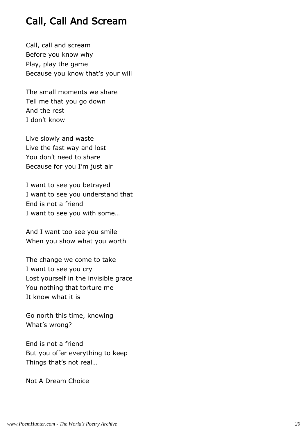# Call, Call And Scream

Call, call and scream Before you know why Play, play the game Because you know that's your will

The small moments we share Tell me that you go down And the rest I don't know

Live slowly and waste Live the fast way and lost You don't need to share Because for you I'm just air

I want to see you betrayed I want to see you understand that End is not a friend I want to see you with some…

And I want too see you smile When you show what you worth

The change we come to take I want to see you cry Lost yourself in the invisible grace You nothing that torture me It know what it is

Go north this time, knowing What's wrong?

End is not a friend But you offer everything to keep Things that's not real…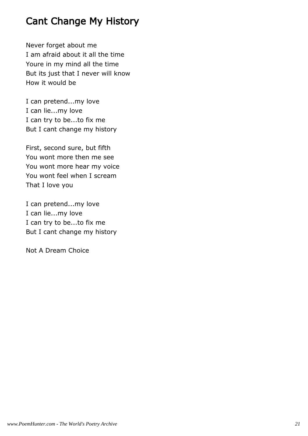# Cant Change My History

Never forget about me I am afraid about it all the time Youre in my mind all the time But its just that I never will know How it would be

I can pretend...my love I can lie...my love I can try to be...to fix me But I cant change my history

First, second sure, but fifth You wont more then me see You wont more hear my voice You wont feel when I scream That I love you

I can pretend...my love I can lie...my love I can try to be...to fix me But I cant change my history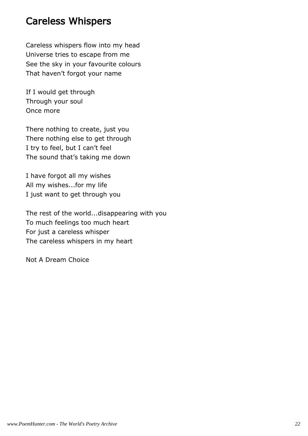# Careless Whispers

Careless whispers flow into my head Universe tries to escape from me See the sky in your favourite colours That haven't forgot your name

If I would get through Through your soul Once more

There nothing to create, just you There nothing else to get through I try to feel, but I can't feel The sound that's taking me down

I have forgot all my wishes All my wishes...for my life I just want to get through you

The rest of the world...disappearing with you To much feelings too much heart For just a careless whisper The careless whispers in my heart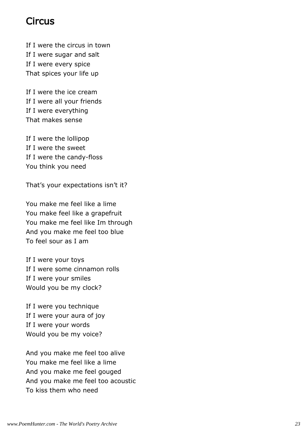#### Circus

If I were the circus in town If I were sugar and salt If I were every spice That spices your life up

If I were the ice cream If I were all your friends If I were everything That makes sense

If I were the lollipop If I were the sweet If I were the candy-floss You think you need

That's your expectations isn't it?

You make me feel like a lime You make feel like a grapefruit You make me feel like Im through And you make me feel too blue To feel sour as I am

If I were your toys If I were some cinnamon rolls If I were your smiles Would you be my clock?

If I were you technique If I were your aura of joy If I were your words Would you be my voice?

And you make me feel too alive You make me feel like a lime And you make me feel gouged And you make me feel too acoustic To kiss them who need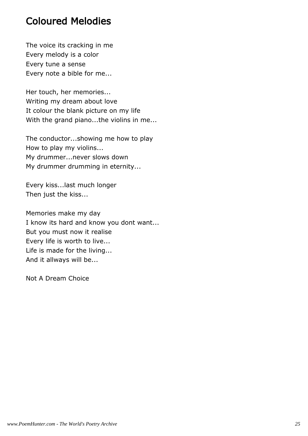# Coloured Melodies

The voice its cracking in me Every melody is a color Every tune a sense Every note a bible for me...

Her touch, her memories... Writing my dream about love It colour the blank picture on my life With the grand piano...the violins in me...

The conductor...showing me how to play How to play my violins... My drummer...never slows down My drummer drumming in eternity...

Every kiss...last much longer Then just the kiss...

Memories make my day I know its hard and know you dont want... But you must now it realise Every life is worth to live... Life is made for the living... And it allways will be...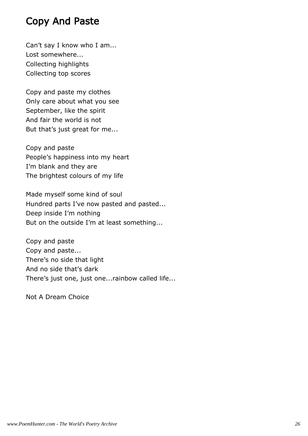# Copy And Paste

Can't say I know who I am... Lost somewhere... Collecting highlights Collecting top scores

Copy and paste my clothes Only care about what you see September, like the spirit And fair the world is not But that's just great for me...

Copy and paste People's happiness into my heart I'm blank and they are The brightest colours of my life

Made myself some kind of soul Hundred parts I've now pasted and pasted... Deep inside I'm nothing But on the outside I'm at least something...

Copy and paste Copy and paste... There's no side that light And no side that's dark There's just one, just one...rainbow called life...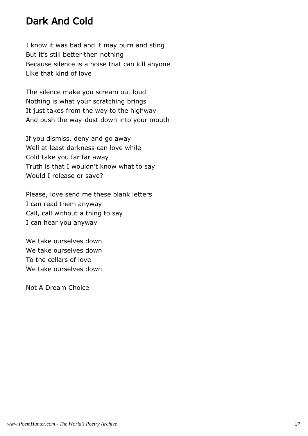# Dark And Cold

I know it was bad and it may burn and sting But it's still better then nothing Because silence is a noise that can kill anyone Like that kind of love

The silence make you scream out loud Nothing is what your scratching brings It just takes from the way to the highway And push the way-dust down into your mouth

If you dismiss, deny and go away Well at least darkness can love while Cold take you far far away Truth is that I wouldn't know what to say Would I release or save?

Please, love send me these blank letters I can read them anyway Call, call without a thing to say I can hear you anyway

We take ourselves down We take ourselves down To the cellars of love We take ourselves down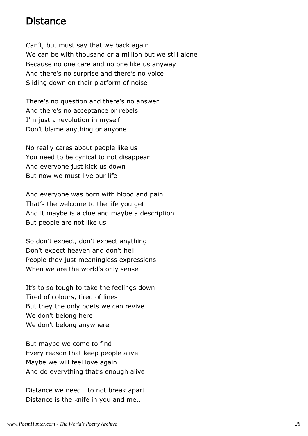### Distance

Can't, but must say that we back again We can be with thousand or a million but we still alone Because no one care and no one like us anyway And there's no surprise and there's no voice Sliding down on their platform of noise

There's no question and there's no answer And there's no acceptance or rebels I'm just a revolution in myself Don't blame anything or anyone

No really cares about people like us You need to be cynical to not disappear And everyone just kick us down But now we must live our life

And everyone was born with blood and pain That's the welcome to the life you get And it maybe is a clue and maybe a description But people are not like us

So don't expect, don't expect anything Don't expect heaven and don't hell People they just meaningless expressions When we are the world's only sense

It's to so tough to take the feelings down Tired of colours, tired of lines But they the only poets we can revive We don't belong here We don't belong anywhere

But maybe we come to find Every reason that keep people alive Maybe we will feel love again And do everything that's enough alive

Distance we need...to not break apart Distance is the knife in you and me...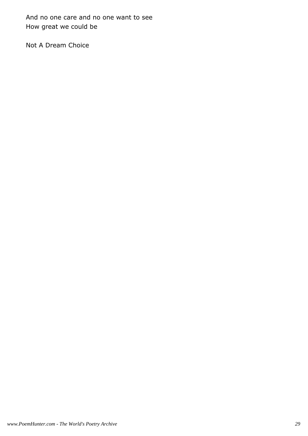And no one care and no one want to see How great we could be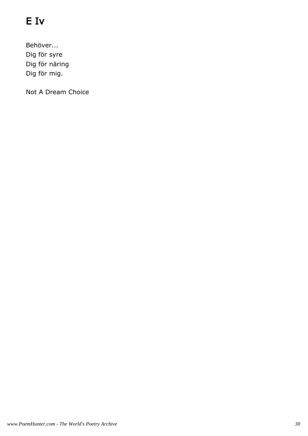# E Iv

Behöver... Dig för syre Dig för näring Dig för mig.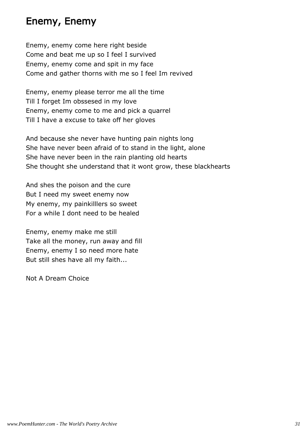# Enemy, Enemy

Enemy, enemy come here right beside Come and beat me up so I feel I survived Enemy, enemy come and spit in my face Come and gather thorns with me so I feel Im revived

Enemy, enemy please terror me all the time Till I forget Im obssesed in my love Enemy, enemy come to me and pick a quarrel Till I have a excuse to take off her gloves

And because she never have hunting pain nights long She have never been afraid of to stand in the light, alone She have never been in the rain planting old hearts She thought she understand that it wont grow, these blackhearts

And shes the poison and the cure But I need my sweet enemy now My enemy, my painkilllers so sweet For a while I dont need to be healed

Enemy, enemy make me still Take all the money, run away and fill Enemy, enemy I so need more hate But still shes have all my faith...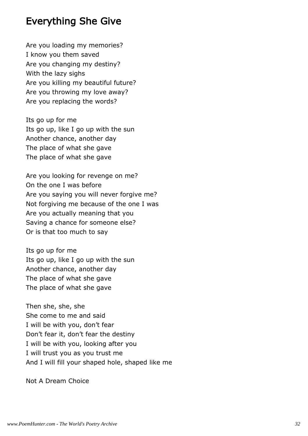### Everything She Give

Are you loading my memories? I know you them saved Are you changing my destiny? With the lazy sighs Are you killing my beautiful future? Are you throwing my love away? Are you replacing the words?

Its go up for me Its go up, like I go up with the sun Another chance, another day The place of what she gave The place of what she gave

Are you looking for revenge on me? On the one I was before Are you saying you will never forgive me? Not forgiving me because of the one I was Are you actually meaning that you Saving a chance for someone else? Or is that too much to say

Its go up for me Its go up, like I go up with the sun Another chance, another day The place of what she gave The place of what she gave

Then she, she, she She come to me and said I will be with you, don't fear Don't fear it, don't fear the destiny I will be with you, looking after you I will trust you as you trust me And I will fill your shaped hole, shaped like me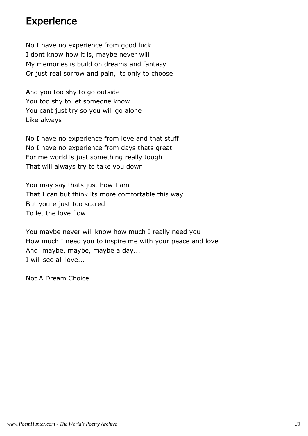# **Experience**

No I have no experience from good luck I dont know how it is, maybe never will My memories is build on dreams and fantasy Or just real sorrow and pain, its only to choose

And you too shy to go outside You too shy to let someone know You cant just try so you will go alone Like always

No I have no experience from love and that stuff No I have no experience from days thats great For me world is just something really tough That will always try to take you down

You may say thats just how I am That I can but think its more comfortable this way But youre just too scared To let the love flow

You maybe never will know how much I really need you How much I need you to inspire me with your peace and love And maybe, maybe, maybe a day... I will see all love...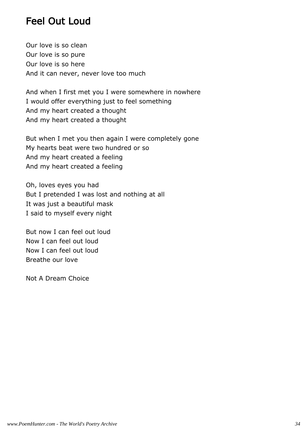# Feel Out Loud

Our love is so clean Our love is so pure Our love is so here And it can never, never love too much

And when I first met you I were somewhere in nowhere I would offer everything just to feel something And my heart created a thought And my heart created a thought

But when I met you then again I were completely gone My hearts beat were two hundred or so And my heart created a feeling And my heart created a feeling

Oh, loves eyes you had But I pretended I was lost and nothing at all It was just a beautiful mask I said to myself every night

But now I can feel out loud Now I can feel out loud Now I can feel out loud Breathe our love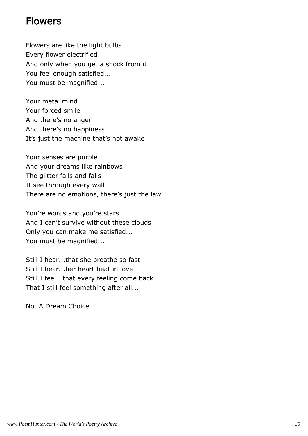# Flowers

Flowers are like the light bulbs Every flower electrified And only when you get a shock from it You feel enough satisfied... You must be magnified...

Your metal mind Your forced smile And there's no anger And there's no happiness It's just the machine that's not awake

Your senses are purple And your dreams like rainbows The glitter falls and falls It see through every wall There are no emotions, there's just the law

You're words and you're stars And I can't survive without these clouds Only you can make me satisfied... You must be magnified...

Still I hear...that she breathe so fast Still I hear...her heart beat in love Still I feel...that every feeling come back That I still feel something after all...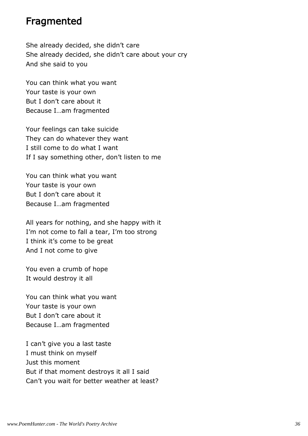#### Fragmented

She already decided, she didn't care She already decided, she didn't care about your cry And she said to you

You can think what you want Your taste is your own But I don't care about it Because I…am fragmented

Your feelings can take suicide They can do whatever they want I still come to do what I want If I say something other, don't listen to me

You can think what you want Your taste is your own But I don't care about it Because I…am fragmented

All years for nothing, and she happy with it I'm not come to fall a tear, I'm too strong I think it's come to be great And I not come to give

You even a crumb of hope It would destroy it all

You can think what you want Your taste is your own But I don't care about it Because I…am fragmented

I can't give you a last taste I must think on myself Just this moment But if that moment destroys it all I said Can't you wait for better weather at least?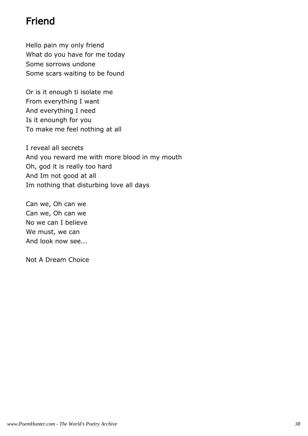# Friend

Hello pain my only friend What do you have for me today Some sorrows undone Some scars waiting to be found

Or is it enough ti isolate me From everything I want And everything I need Is it enoungh for you To make me feel nothing at all

I reveal all secrets And you reward me with more blood in my mouth Oh, god it is really too hard And Im not good at all Im nothing that disturbing love all days

Can we, Oh can we Can we, Oh can we No we can I believe We must, we can And look now see...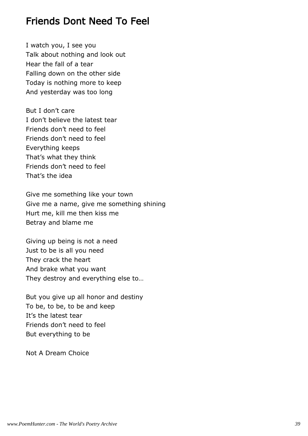#### Friends Dont Need To Feel

I watch you, I see you Talk about nothing and look out Hear the fall of a tear Falling down on the other side Today is nothing more to keep And yesterday was too long

But I don't care I don't believe the latest tear Friends don't need to feel Friends don't need to feel Everything keeps That's what they think Friends don't need to feel That's the idea

Give me something like your town Give me a name, give me something shining Hurt me, kill me then kiss me Betray and blame me

Giving up being is not a need Just to be is all you need They crack the heart And brake what you want They destroy and everything else to…

But you give up all honor and destiny To be, to be, to be and keep It's the latest tear Friends don't need to feel But everything to be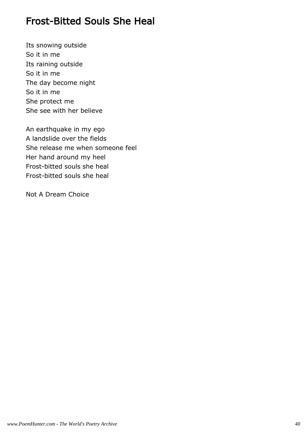# Frost-Bitted Souls She Heal

Its snowing outside So it in me Its raining outside So it in me The day become night So it in me She protect me She see with her believe

An earthquake in my ego A landslide over the fields She release me when someone feel Her hand around my heel Frost-bitted souls she heal Frost-bitted souls she heal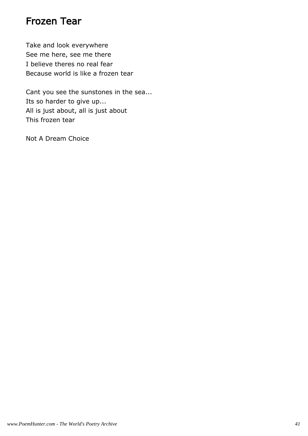### Frozen Tear

Take and look everywhere See me here, see me there I believe theres no real fear Because world is like a frozen tear

Cant you see the sunstones in the sea... Its so harder to give up... All is just about, all is just about This frozen tear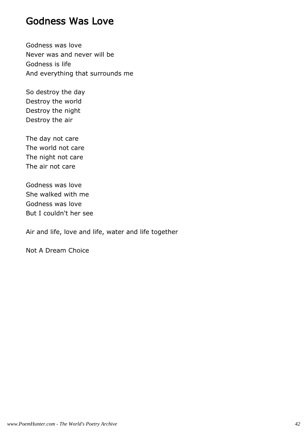#### Godness Was Love

Godness was love Never was and never will be Godness is life And everything that surrounds me

So destroy the day Destroy the world Destroy the night Destroy the air

The day not care The world not care The night not care The air not care

Godness was love She walked with me Godness was love But I couldn't her see

Air and life, love and life, water and life together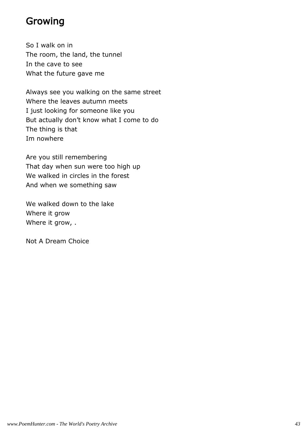# Growing

So I walk on in The room, the land, the tunnel In the cave to see What the future gave me

Always see you walking on the same street Where the leaves autumn meets I just looking for someone like you But actually don't know what I come to do The thing is that Im nowhere

Are you still remembering That day when sun were too high up We walked in circles in the forest And when we something saw

We walked down to the lake Where it grow Where it grow, .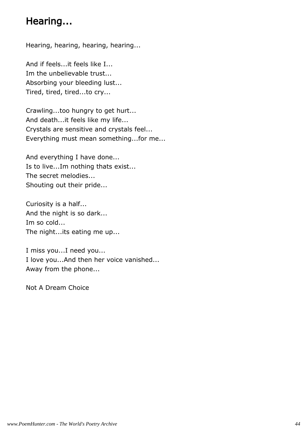# Hearing...

Hearing, hearing, hearing, hearing...

And if feels...it feels like I... Im the unbelievable trust... Absorbing your bleeding lust... Tired, tired, tired...to cry...

Crawling...too hungry to get hurt... And death...it feels like my life... Crystals are sensitive and crystals feel... Everything must mean something...for me...

And everything I have done... Is to live...Im nothing thats exist... The secret melodies... Shouting out their pride...

Curiosity is a half... And the night is so dark... Im so cold... The night...its eating me up...

I miss you...I need you... I love you...And then her voice vanished... Away from the phone...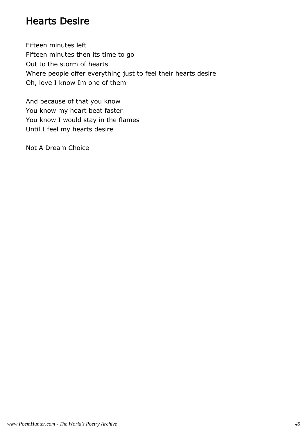### Hearts Desire

Fifteen minutes left Fifteen minutes then its time to go Out to the storm of hearts Where people offer everything just to feel their hearts desire Oh, love I know Im one of them

And because of that you know You know my heart beat faster You know I would stay in the flames Until I feel my hearts desire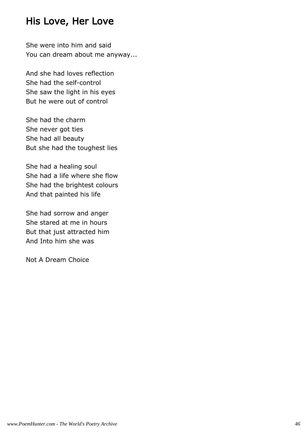# His Love, Her Love

She were into him and said You can dream about me anyway...

And she had loves reflection She had the self-control She saw the light in his eyes But he were out of control

She had the charm She never got ties She had all beauty But she had the toughest lies

She had a healing soul She had a life where she flow She had the brightest colours And that painted his life

She had sorrow and anger She stared at me in hours But that just attracted him And Into him she was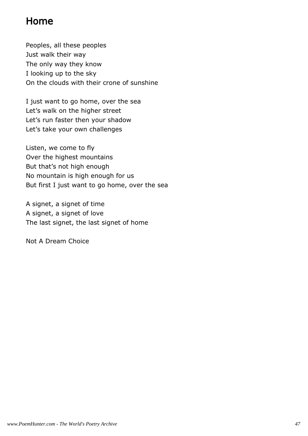# Home

Peoples, all these peoples Just walk their way The only way they know I looking up to the sky On the clouds with their crone of sunshine

I just want to go home, over the sea Let's walk on the higher street Let's run faster then your shadow Let's take your own challenges

Listen, we come to fly Over the highest mountains But that's not high enough No mountain is high enough for us But first I just want to go home, over the sea

A signet, a signet of time A signet, a signet of love The last signet, the last signet of home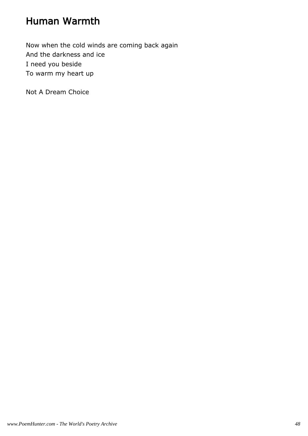# Human Warmth

Now when the cold winds are coming back again And the darkness and ice I need you beside To warm my heart up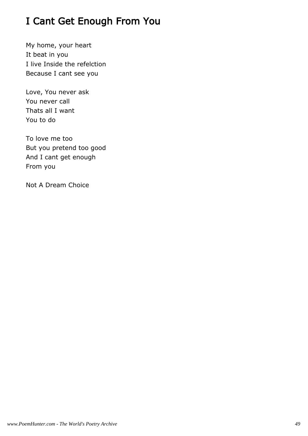# I Cant Get Enough From You

My home, your heart It beat in you I live Inside the refelction Because I cant see you

Love, You never ask You never call Thats all I want You to do

To love me too But you pretend too good And I cant get enough From you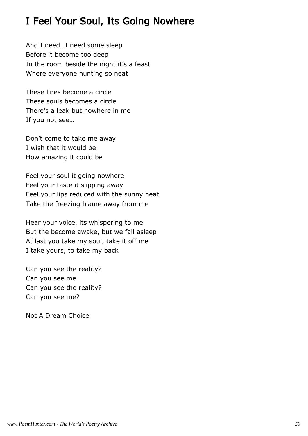# I Feel Your Soul, Its Going Nowhere

And I need…I need some sleep Before it become too deep In the room beside the night it's a feast Where everyone hunting so neat

These lines become a circle These souls becomes a circle There's a leak but nowhere in me If you not see…

Don't come to take me away I wish that it would be How amazing it could be

Feel your soul it going nowhere Feel your taste it slipping away Feel your lips reduced with the sunny heat Take the freezing blame away from me

Hear your voice, its whispering to me But the become awake, but we fall asleep At last you take my soul, take it off me I take yours, to take my back

Can you see the reality? Can you see me Can you see the reality? Can you see me?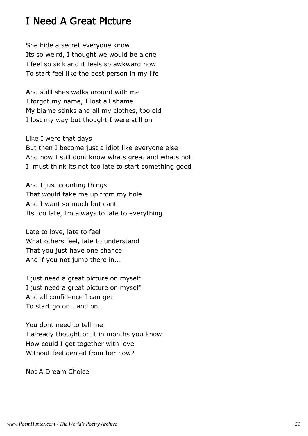# I Need A Great Picture

She hide a secret everyone know Its so weird, I thought we would be alone I feel so sick and it feels so awkward now To start feel like the best person in my life

And stilll shes walks around with me I forgot my name, I lost all shame My blame stinks and all my clothes, too old I lost my way but thought I were still on

Like I were that days

But then I become just a idiot like everyone else And now I still dont know whats great and whats not I must think its not too late to start something good

And I just counting things That would take me up from my hole And I want so much but cant Its too late, Im always to late to everything

Late to love, late to feel What others feel, late to understand That you just have one chance And if you not jump there in...

I just need a great picture on myself I just need a great picture on myself And all confidence I can get To start go on...and on...

You dont need to tell me I already thought on it in months you know How could I get together with love Without feel denied from her now?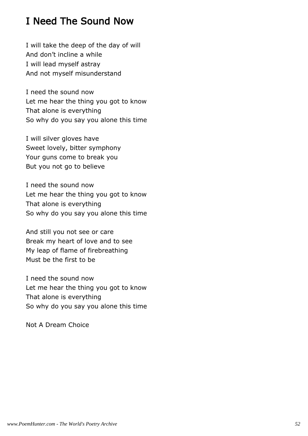# I Need The Sound Now

I will take the deep of the day of will And don't incline a while I will lead myself astray And not myself misunderstand

I need the sound now Let me hear the thing you got to know That alone is everything So why do you say you alone this time

I will silver gloves have Sweet lovely, bitter symphony Your guns come to break you But you not go to believe

I need the sound now Let me hear the thing you got to know That alone is everything So why do you say you alone this time

And still you not see or care Break my heart of love and to see My leap of flame of firebreathing Must be the first to be

I need the sound now Let me hear the thing you got to know That alone is everything So why do you say you alone this time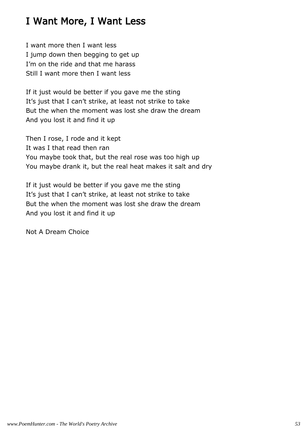# I Want More, I Want Less

I want more then I want less I jump down then begging to get up I'm on the ride and that me harass Still I want more then I want less

If it just would be better if you gave me the sting It's just that I can't strike, at least not strike to take But the when the moment was lost she draw the dream And you lost it and find it up

Then I rose, I rode and it kept It was I that read then ran You maybe took that, but the real rose was too high up You maybe drank it, but the real heat makes it salt and dry

If it just would be better if you gave me the sting It's just that I can't strike, at least not strike to take But the when the moment was lost she draw the dream And you lost it and find it up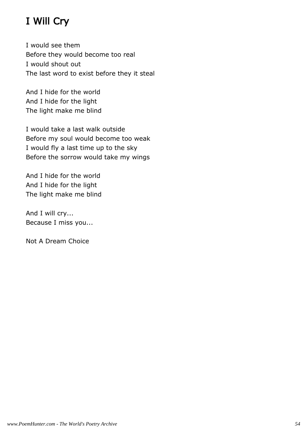# I Will Cry

I would see them Before they would become too real I would shout out The last word to exist before they it steal

And I hide for the world And I hide for the light The light make me blind

I would take a last walk outside Before my soul would become too weak I would fly a last time up to the sky Before the sorrow would take my wings

And I hide for the world And I hide for the light The light make me blind

And I will cry... Because I miss you...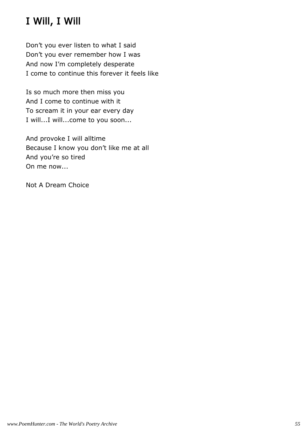# I Will, I Will

Don't you ever listen to what I said Don't you ever remember how I was And now I'm completely desperate I come to continue this forever it feels like

Is so much more then miss you And I come to continue with it To scream it in your ear every day I will...I will...come to you soon...

And provoke I will alltime Because I know you don't like me at all And you're so tired On me now...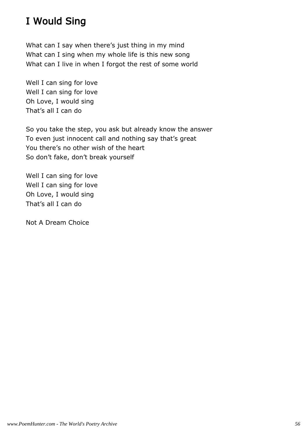# I Would Sing

What can I say when there's just thing in my mind What can I sing when my whole life is this new song What can I live in when I forgot the rest of some world

Well I can sing for love Well I can sing for love Oh Love, I would sing That's all I can do

So you take the step, you ask but already know the answer To even just innocent call and nothing say that's great You there's no other wish of the heart So don't fake, don't break yourself

Well I can sing for love Well I can sing for love Oh Love, I would sing That's all I can do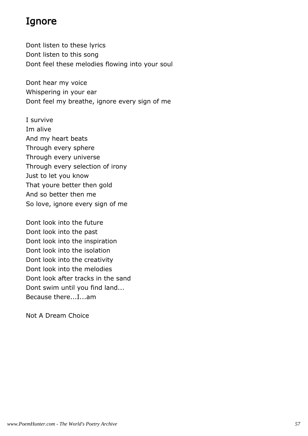# Ignore

Dont listen to these lyrics Dont listen to this song Dont feel these melodies flowing into your soul

Dont hear my voice Whispering in your ear Dont feel my breathe, ignore every sign of me

I survive Im alive And my heart beats Through every sphere Through every universe Through every selection of irony Just to let you know That youre better then gold And so better then me So love, ignore every sign of me

Dont look into the future Dont look into the past Dont look into the inspiration Dont look into the isolation Dont look into the creativity Dont look into the melodies Dont look after tracks in the sand Dont swim until you find land... Because there...I...am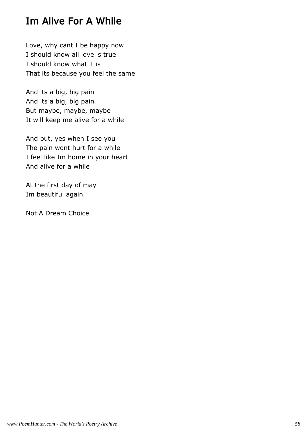# Im Alive For A While

Love, why cant I be happy now I should know all love is true I should know what it is That its because you feel the same

And its a big, big pain And its a big, big pain But maybe, maybe, maybe It will keep me alive for a while

And but, yes when I see you The pain wont hurt for a while I feel like Im home in your heart And alive for a while

At the first day of may Im beautiful again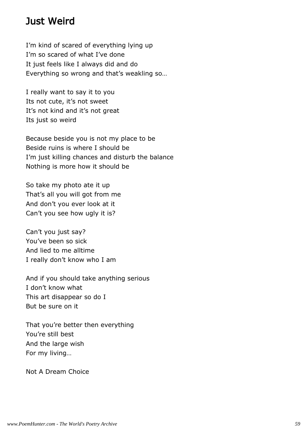### Just Weird

I'm kind of scared of everything lying up I'm so scared of what I've done It just feels like I always did and do Everything so wrong and that's weakling so…

I really want to say it to you Its not cute, it's not sweet It's not kind and it's not great Its just so weird

Because beside you is not my place to be Beside ruins is where I should be I'm just killing chances and disturb the balance Nothing is more how it should be

So take my photo ate it up That's all you will got from me And don't you ever look at it Can't you see how ugly it is?

Can't you just say? You've been so sick And lied to me alltime I really don't know who I am

And if you should take anything serious I don't know what This art disappear so do I But be sure on it

That you're better then everything You're still best And the large wish For my living…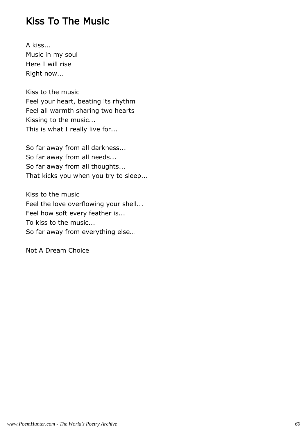#### Kiss To The Music

A kiss... Music in my soul Here I will rise Right now...

Kiss to the music Feel your heart, beating its rhythm Feel all warmth sharing two hearts Kissing to the music... This is what I really live for...

So far away from all darkness... So far away from all needs... So far away from all thoughts... That kicks you when you try to sleep...

Kiss to the music Feel the love overflowing your shell... Feel how soft every feather is... To kiss to the music... So far away from everything else…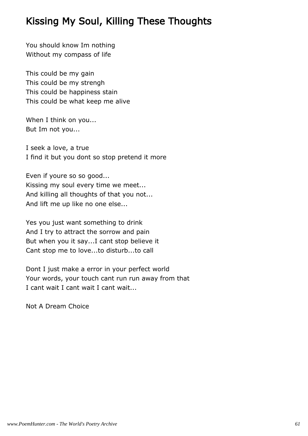# Kissing My Soul, Killing These Thoughts

You should know Im nothing Without my compass of life

This could be my gain This could be my strengh This could be happiness stain This could be what keep me alive

When I think on you... But Im not you...

I seek a love, a true I find it but you dont so stop pretend it more

Even if youre so so good... Kissing my soul every time we meet... And killing all thoughts of that you not... And lift me up like no one else...

Yes you just want something to drink And I try to attract the sorrow and pain But when you it say...I cant stop believe it Cant stop me to love...to disturb...to call

Dont I just make a error in your perfect world Your words, your touch cant run run away from that I cant wait I cant wait I cant wait...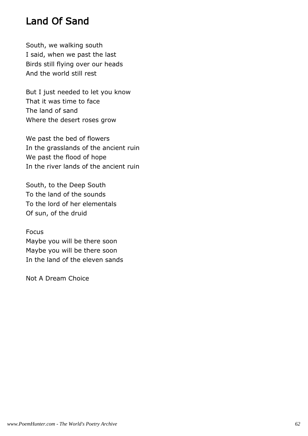# Land Of Sand

South, we walking south I said, when we past the last Birds still flying over our heads And the world still rest

But I just needed to let you know That it was time to face The land of sand Where the desert roses grow

We past the bed of flowers In the grasslands of the ancient ruin We past the flood of hope In the river lands of the ancient ruin

South, to the Deep South To the land of the sounds To the lord of her elementals Of sun, of the druid

Focus

Maybe you will be there soon Maybe you will be there soon In the land of the eleven sands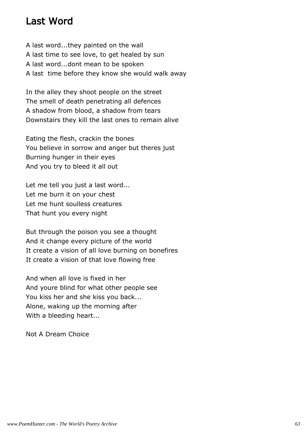### Last Word

A last word...they painted on the wall A last time to see love, to get healed by sun A last word...dont mean to be spoken A last time before they know she would walk away

In the alley they shoot people on the street The smell of death penetrating all defences A shadow from blood, a shadow from tears Downstairs they kill the last ones to remain alive

Eating the flesh, crackin the bones You believe in sorrow and anger but theres just Burning hunger in their eyes And you try to bleed it all out

Let me tell you just a last word... Let me burn it on your chest Let me hunt soulless creatures That hunt you every night

But through the poison you see a thought And it change every picture of the world It create a vision of all love burning on bonefires It create a vision of that love flowing free

And when all love is fixed in her And youre blind for what other people see You kiss her and she kiss you back... Alone, waking up the morning after With a bleeding heart...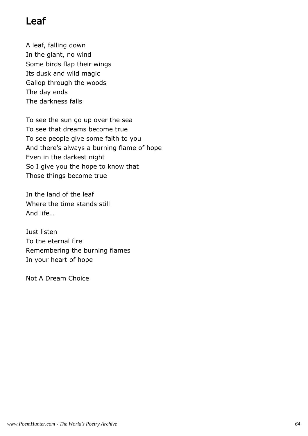# Leaf

A leaf, falling down In the glant, no wind Some birds flap their wings Its dusk and wild magic Gallop through the woods The day ends The darkness falls

To see the sun go up over the sea To see that dreams become true To see people give some faith to you And there's always a burning flame of hope Even in the darkest night So I give you the hope to know that Those things become true

In the land of the leaf Where the time stands still And life…

Just listen To the eternal fire Remembering the burning flames In your heart of hope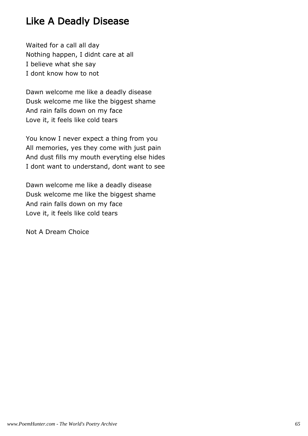# Like A Deadly Disease

Waited for a call all day Nothing happen, I didnt care at all I believe what she say I dont know how to not

Dawn welcome me like a deadly disease Dusk welcome me like the biggest shame And rain falls down on my face Love it, it feels like cold tears

You know I never expect a thing from you All memories, yes they come with just pain And dust fills my mouth everyting else hides I dont want to understand, dont want to see

Dawn welcome me like a deadly disease Dusk welcome me like the biggest shame And rain falls down on my face Love it, it feels like cold tears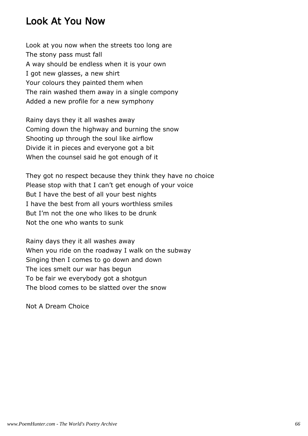### Look At You Now

Look at you now when the streets too long are The stony pass must fall A way should be endless when it is your own I got new glasses, a new shirt Your colours they painted them when The rain washed them away in a single compony Added a new profile for a new symphony

Rainy days they it all washes away Coming down the highway and burning the snow Shooting up through the soul like airflow Divide it in pieces and everyone got a bit When the counsel said he got enough of it

They got no respect because they think they have no choice Please stop with that I can't get enough of your voice But I have the best of all your best nights I have the best from all yours worthless smiles But I'm not the one who likes to be drunk Not the one who wants to sunk

Rainy days they it all washes away When you ride on the roadway I walk on the subway Singing then I comes to go down and down The ices smelt our war has begun To be fair we everybody got a shotgun The blood comes to be slatted over the snow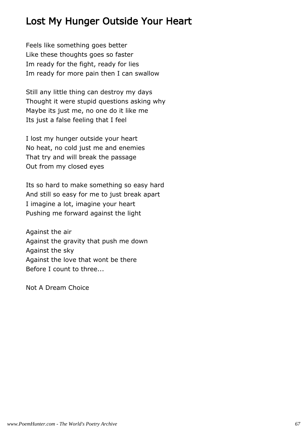# Lost My Hunger Outside Your Heart

Feels like something goes better Like these thoughts goes so faster Im ready for the fight, ready for lies Im ready for more pain then I can swallow

Still any little thing can destroy my days Thought it were stupid questions asking why Maybe its just me, no one do it like me Its just a false feeling that I feel

I lost my hunger outside your heart No heat, no cold just me and enemies That try and will break the passage Out from my closed eyes

Its so hard to make something so easy hard And still so easy for me to just break apart I imagine a lot, imagine your heart Pushing me forward against the light

Against the air Against the gravity that push me down Against the sky Against the love that wont be there Before I count to three...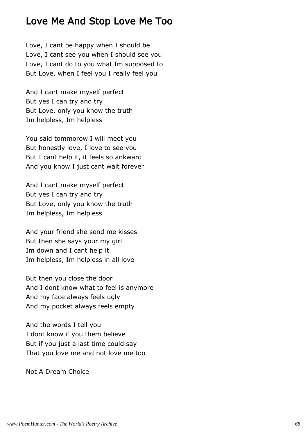### Love Me And Stop Love Me Too

Love, I cant be happy when I should be Love, I cant see you when I should see you Love, I cant do to you what Im supposed to But Love, when I feel you I really feel you

And I cant make myself perfect But yes I can try and try But Love, only you know the truth Im helpless, Im helpless

You said tommorow I will meet you But honestly love, I love to see you But I cant help it, it feels so ankward And you know I just cant wait forever

And I cant make myself perfect But yes I can try and try But Love, only you know the truth Im helpless, Im helpless

And your friend she send me kisses But then she says your my girl Im down and I cant help it Im helpless, Im helpless in all love

But then you close the door And I dont know what to feel is anymore And my face always feels ugly And my pocket always feels empty

And the words I tell you I dont know if you them believe But if you just a last time could say That you love me and not love me too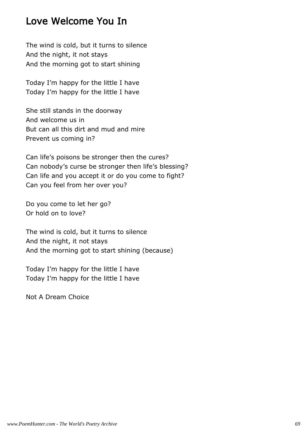### Love Welcome You In

The wind is cold, but it turns to silence And the night, it not stays And the morning got to start shining

Today I'm happy for the little I have Today I'm happy for the little I have

She still stands in the doorway And welcome us in But can all this dirt and mud and mire Prevent us coming in?

Can life's poisons be stronger then the cures? Can nobody's curse be stronger then life's blessing? Can life and you accept it or do you come to fight? Can you feel from her over you?

Do you come to let her go? Or hold on to love?

The wind is cold, but it turns to silence And the night, it not stays And the morning got to start shining (because)

Today I'm happy for the little I have Today I'm happy for the little I have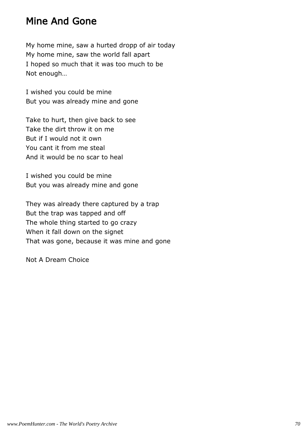### Mine And Gone

My home mine, saw a hurted dropp of air today My home mine, saw the world fall apart I hoped so much that it was too much to be Not enough…

I wished you could be mine But you was already mine and gone

Take to hurt, then give back to see Take the dirt throw it on me But if I would not it own You cant it from me steal And it would be no scar to heal

I wished you could be mine But you was already mine and gone

They was already there captured by a trap But the trap was tapped and off The whole thing started to go crazy When it fall down on the signet That was gone, because it was mine and gone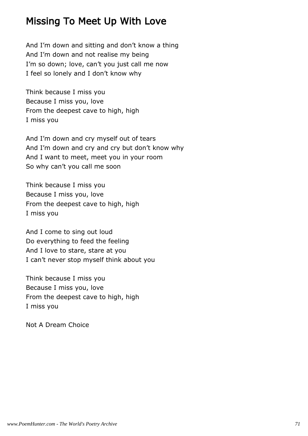# Missing To Meet Up With Love

And I'm down and sitting and don't know a thing And I'm down and not realise my being I'm so down; love, can't you just call me now I feel so lonely and I don't know why

Think because I miss you Because I miss you, love From the deepest cave to high, high I miss you

And I'm down and cry myself out of tears And I'm down and cry and cry but don't know why And I want to meet, meet you in your room So why can't you call me soon

Think because I miss you Because I miss you, love From the deepest cave to high, high I miss you

And I come to sing out loud Do everything to feed the feeling And I love to stare, stare at you I can't never stop myself think about you

Think because I miss you Because I miss you, love From the deepest cave to high, high I miss you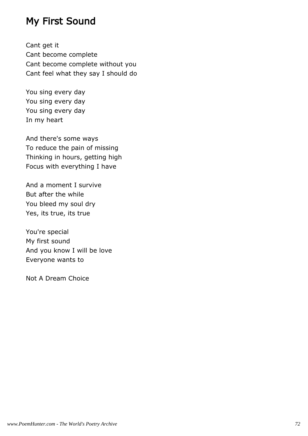# My First Sound

Cant get it Cant become complete Cant become complete without you Cant feel what they say I should do

You sing every day You sing every day You sing every day In my heart

And there's some ways To reduce the pain of missing Thinking in hours, getting high Focus with everything I have

And a moment I survive But after the while You bleed my soul dry Yes, its true, its true

You're special My first sound And you know I will be love Everyone wants to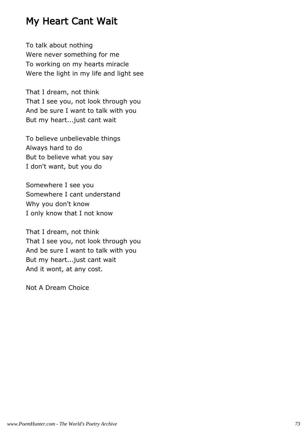# My Heart Cant Wait

To talk about nothing Were never something for me To working on my hearts miracle Were the light in my life and light see

That I dream, not think That I see you, not look through you And be sure I want to talk with you But my heart...just cant wait

To believe unbelievable things Always hard to do But to believe what you say I don't want, but you do

Somewhere I see you Somewhere I cant understand Why you don't know I only know that I not know

That I dream, not think That I see you, not look through you And be sure I want to talk with you But my heart...just cant wait And it wont, at any cost.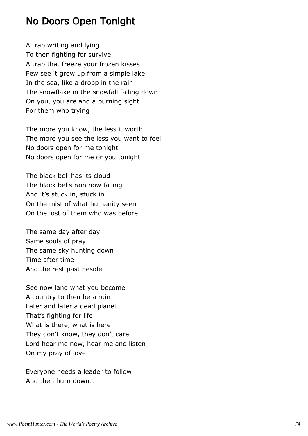### No Doors Open Tonight

A trap writing and lying To then fighting for survive A trap that freeze your frozen kisses Few see it grow up from a simple lake In the sea, like a dropp in the rain The snowflake in the snowfall falling down On you, you are and a burning sight For them who trying

The more you know, the less it worth The more you see the less you want to feel No doors open for me tonight No doors open for me or you tonight

The black bell has its cloud The black bells rain now falling And it's stuck in, stuck in On the mist of what humanity seen On the lost of them who was before

The same day after day Same souls of pray The same sky hunting down Time after time And the rest past beside

See now land what you become A country to then be a ruin Later and later a dead planet That's fighting for life What is there, what is here They don't know, they don't care Lord hear me now, hear me and listen On my pray of love

Everyone needs a leader to follow And then burn down…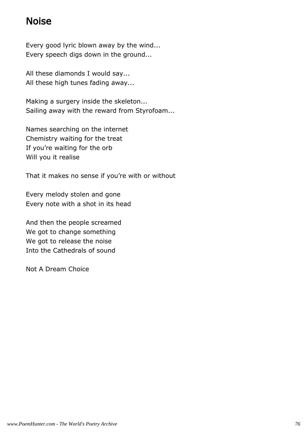# Noise

Every good lyric blown away by the wind... Every speech digs down in the ground...

All these diamonds I would say... All these high tunes fading away...

Making a surgery inside the skeleton... Sailing away with the reward from Styrofoam...

Names searching on the internet Chemistry waiting for the treat If you're waiting for the orb Will you it realise

That it makes no sense if you're with or without

Every melody stolen and gone Every note with a shot in its head

And then the people screamed We got to change something We got to release the noise Into the Cathedrals of sound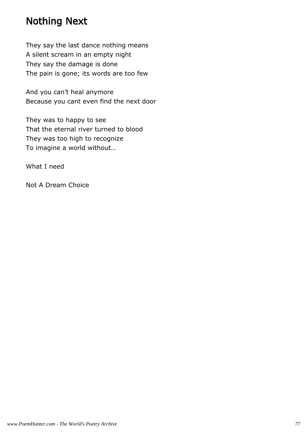# Nothing Next

They say the last dance nothing means A silent scream in an empty night They say the damage is done The pain is gone; its words are too few

And you can't heal anymore Because you cant even find the next door

They was to happy to see That the eternal river turned to blood They was too high to recognize To imagine a world without…

What I need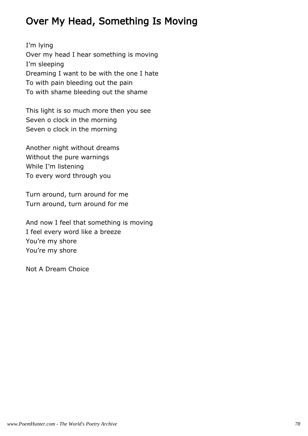# Over My Head, Something Is Moving

I'm lying Over my head I hear something is moving I'm sleeping Dreaming I want to be with the one I hate To with pain bleeding out the pain To with shame bleeding out the shame

This light is so much more then you see Seven o clock in the morning Seven o clock in the morning

Another night without dreams Without the pure warnings While I'm listening To every word through you

Turn around, turn around for me Turn around, turn around for me

And now I feel that something is moving I feel every word like a breeze You're my shore You're my shore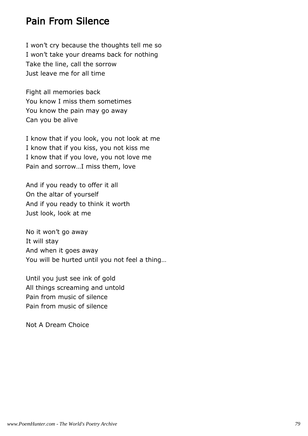#### Pain From Silence

I won't cry because the thoughts tell me so I won't take your dreams back for nothing Take the line, call the sorrow Just leave me for all time

Fight all memories back You know I miss them sometimes You know the pain may go away Can you be alive

I know that if you look, you not look at me I know that if you kiss, you not kiss me I know that if you love, you not love me Pain and sorrow…I miss them, love

And if you ready to offer it all On the altar of yourself And if you ready to think it worth Just look, look at me

No it won't go away It will stay And when it goes away You will be hurted until you not feel a thing…

Until you just see ink of gold All things screaming and untold Pain from music of silence Pain from music of silence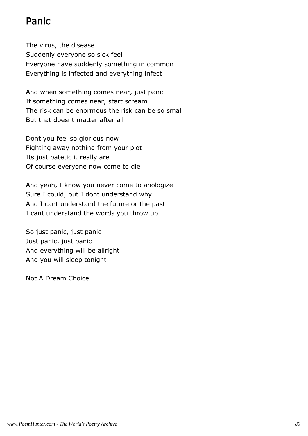# Panic

The virus, the disease Suddenly everyone so sick feel Everyone have suddenly something in common Everything is infected and everything infect

And when something comes near, just panic If something comes near, start scream The risk can be enormous the risk can be so small But that doesnt matter after all

Dont you feel so glorious now Fighting away nothing from your plot Its just patetic it really are Of course everyone now come to die

And yeah, I know you never come to apologize Sure I could, but I dont understand why And I cant understand the future or the past I cant understand the words you throw up

So just panic, just panic Just panic, just panic And everything will be allright And you will sleep tonight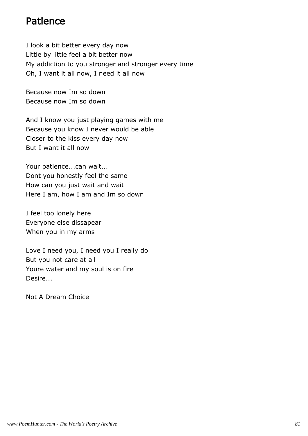### Patience

I look a bit better every day now Little by little feel a bit better now My addiction to you stronger and stronger every time Oh, I want it all now, I need it all now

Because now Im so down Because now Im so down

And I know you just playing games with me Because you know I never would be able Closer to the kiss every day now But I want it all now

Your patience...can wait... Dont you honestly feel the same How can you just wait and wait Here I am, how I am and Im so down

I feel too lonely here Everyone else dissapear When you in my arms

Love I need you, I need you I really do But you not care at all Youre water and my soul is on fire Desire...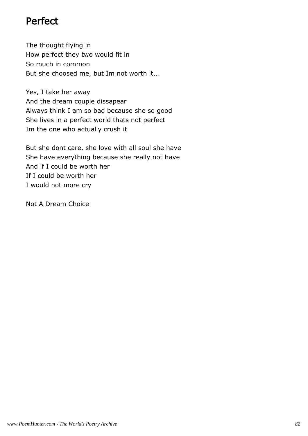# Perfect

The thought flying in How perfect they two would fit in So much in common But she choosed me, but Im not worth it...

Yes, I take her away And the dream couple dissapear Always think I am so bad because she so good She lives in a perfect world thats not perfect Im the one who actually crush it

But she dont care, she love with all soul she have She have everything because she really not have And if I could be worth her If I could be worth her I would not more cry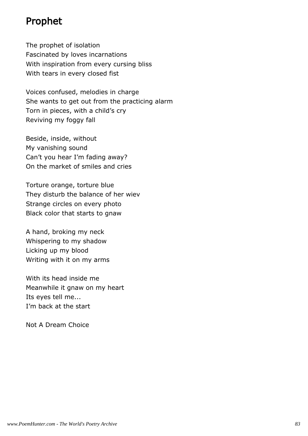# Prophet

The prophet of isolation Fascinated by loves incarnations With inspiration from every cursing bliss With tears in every closed fist

Voices confused, melodies in charge She wants to get out from the practicing alarm Torn in pieces, with a child's cry Reviving my foggy fall

Beside, inside, without My vanishing sound Can't you hear I'm fading away? On the market of smiles and cries

Torture orange, torture blue They disturb the balance of her wiev Strange circles on every photo Black color that starts to gnaw

A hand, broking my neck Whispering to my shadow Licking up my blood Writing with it on my arms

With its head inside me Meanwhile it gnaw on my heart Its eyes tell me... I'm back at the start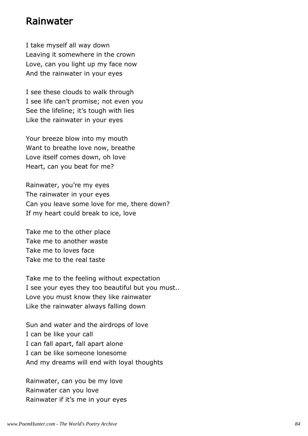#### Rainwater

I take myself all way down Leaving it somewhere in the crown Love, can you light up my face now And the rainwater in your eyes

I see these clouds to walk through I see life can't promise; not even you See the lifeline; it's tough with lies Like the rainwater in your eyes

Your breeze blow into my mouth Want to breathe love now, breathe Love itself comes down, oh love Heart, can you beat for me?

Rainwater, you're my eyes The rainwater in your eyes Can you leave some love for me, there down? If my heart could break to ice, love

Take me to the other place Take me to another waste Take me to loves face Take me to the real taste

Take me to the feeling without expectation I see your eyes they too beautiful but you must.. Love you must know they like rainwater Like the rainwater always falling down

Sun and water and the airdrops of love I can be like your call I can fall apart, fall apart alone I can be like someone lonesome And my dreams will end with loyal thoughts

Rainwater, can you be my love Rainwater can you love Rainwater if it's me in your eyes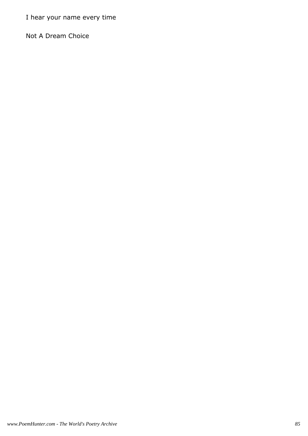I hear your name every time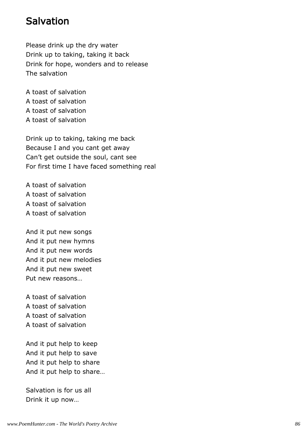#### Salvation

Please drink up the dry water Drink up to taking, taking it back Drink for hope, wonders and to release The salvation

A toast of salvation A toast of salvation A toast of salvation A toast of salvation

Drink up to taking, taking me back Because I and you cant get away Can't get outside the soul, cant see For first time I have faced something real

A toast of salvation A toast of salvation A toast of salvation A toast of salvation

And it put new songs And it put new hymns And it put new words And it put new melodies And it put new sweet Put new reasons…

A toast of salvation A toast of salvation A toast of salvation A toast of salvation

And it put help to keep And it put help to save And it put help to share And it put help to share…

Salvation is for us all Drink it up now…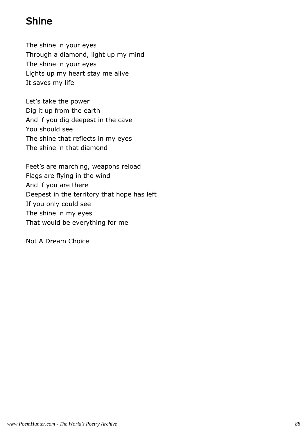# Shine

The shine in your eyes Through a diamond, light up my mind The shine in your eyes Lights up my heart stay me alive It saves my life

Let's take the power Dig it up from the earth And if you dig deepest in the cave You should see The shine that reflects in my eyes The shine in that diamond

Feet's are marching, weapons reload Flags are flying in the wind And if you are there Deepest in the territory that hope has left If you only could see The shine in my eyes That would be everything for me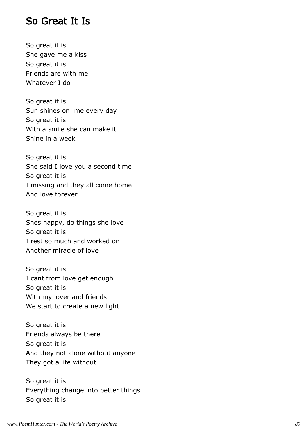#### So Great It Is

So great it is She gave me a kiss So great it is Friends are with me Whatever I do

So great it is Sun shines on me every day So great it is With a smile she can make it Shine in a week

So great it is She said I love you a second time So great it is I missing and they all come home And love forever

So great it is Shes happy, do things she love So great it is I rest so much and worked on Another miracle of love

So great it is I cant from love get enough So great it is With my lover and friends We start to create a new light

So great it is Friends always be there So great it is And they not alone without anyone They got a life without

So great it is Everything change into better things So great it is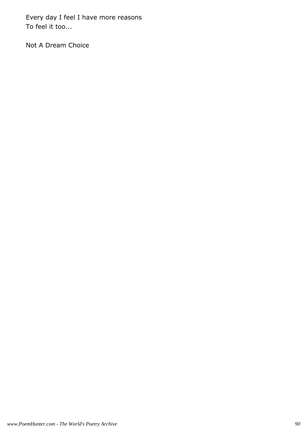Every day I feel I have more reasons To feel it too...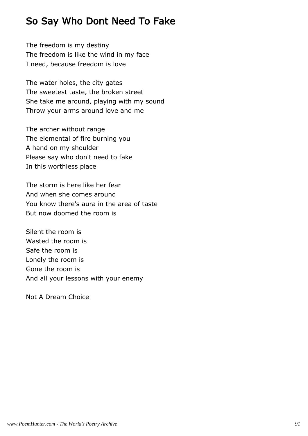# So Say Who Dont Need To Fake

The freedom is my destiny The freedom is like the wind in my face I need, because freedom is love

The water holes, the city gates The sweetest taste, the broken street She take me around, playing with my sound Throw your arms around love and me

The archer without range The elemental of fire burning you A hand on my shoulder Please say who don't need to fake In this worthless place

The storm is here like her fear And when she comes around You know there's aura in the area of taste But now doomed the room is

Silent the room is Wasted the room is Safe the room is Lonely the room is Gone the room is And all your lessons with your enemy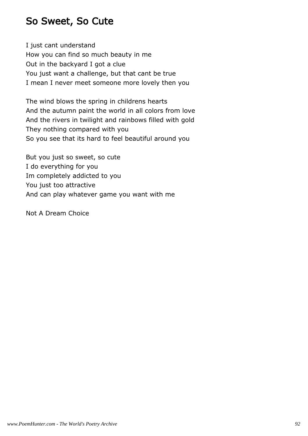# So Sweet, So Cute

I just cant understand How you can find so much beauty in me Out in the backyard I got a clue You just want a challenge, but that cant be true I mean I never meet someone more lovely then you

The wind blows the spring in childrens hearts And the autumn paint the world in all colors from love And the rivers in twilight and rainbows filled with gold They nothing compared with you So you see that its hard to feel beautiful around you

But you just so sweet, so cute I do everything for you Im completely addicted to you You just too attractive And can play whatever game you want with me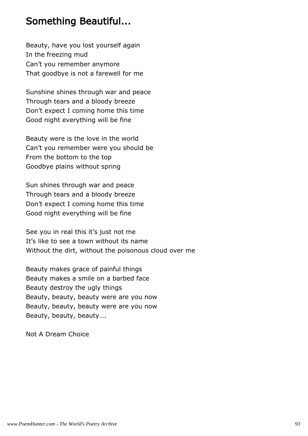### Something Beautiful...

Beauty, have you lost yourself again In the freezing mud Can't you remember anymore That goodbye is not a farewell for me

Sunshine shines through war and peace Through tears and a bloody breeze Don't expect I coming home this time Good night everything will be fine

Beauty were is the love in the world Can't you remember were you should be From the bottom to the top Goodbye plains without spring

Sun shines through war and peace Through tears and a bloody breeze Don't expect I coming home this time Good night everything will be fine

See you in real this it's just not me It's like to see a town without its name Without the dirt, without the poisonous cloud over me

Beauty makes grace of painful things Beauty makes a smile on a barbed face Beauty destroy the ugly things Beauty, beauty, beauty were are you now Beauty, beauty, beauty were are you now Beauty, beauty, beauty….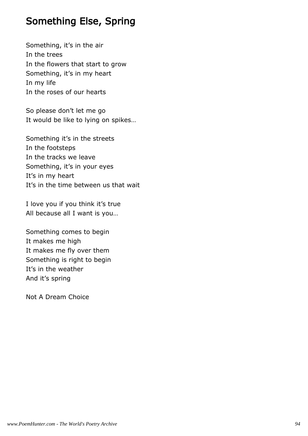# Something Else, Spring

Something, it's in the air In the trees In the flowers that start to grow Something, it's in my heart In my life In the roses of our hearts

So please don't let me go It would be like to lying on spikes…

Something it's in the streets In the footsteps In the tracks we leave Something, it's in your eyes It's in my heart It's in the time between us that wait

I love you if you think it's true All because all I want is you…

Something comes to begin It makes me high It makes me fly over them Something is right to begin It's in the weather And it's spring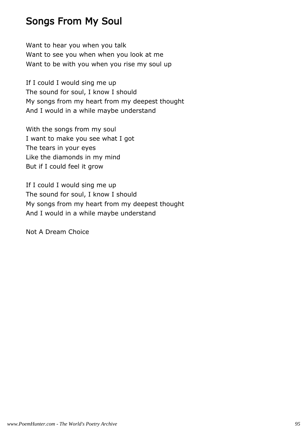# Songs From My Soul

Want to hear you when you talk Want to see you when when you look at me Want to be with you when you rise my soul up

If I could I would sing me up The sound for soul, I know I should My songs from my heart from my deepest thought And I would in a while maybe understand

With the songs from my soul I want to make you see what I got The tears in your eyes Like the diamonds in my mind But if I could feel it grow

If I could I would sing me up The sound for soul, I know I should My songs from my heart from my deepest thought And I would in a while maybe understand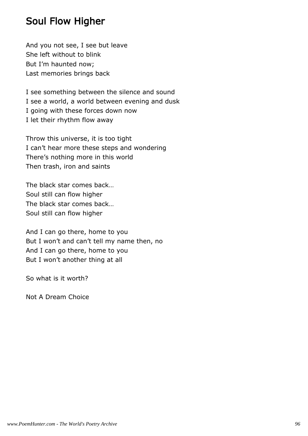### Soul Flow Higher

And you not see, I see but leave She left without to blink But I'm haunted now; Last memories brings back

I see something between the silence and sound I see a world, a world between evening and dusk I going with these forces down now I let their rhythm flow away

Throw this universe, it is too tight I can't hear more these steps and wondering There's nothing more in this world Then trash, iron and saints

The black star comes back… Soul still can flow higher The black star comes back… Soul still can flow higher

And I can go there, home to you But I won't and can't tell my name then, no And I can go there, home to you But I won't another thing at all

So what is it worth?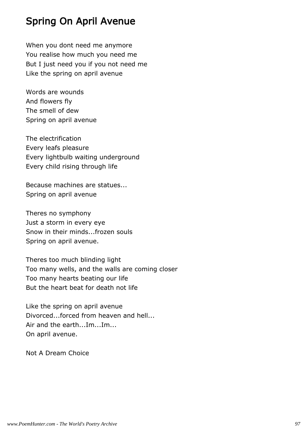# Spring On April Avenue

When you dont need me anymore You realise how much you need me But I just need you if you not need me Like the spring on april avenue

Words are wounds And flowers fly The smell of dew Spring on april avenue

The electrification Every leafs pleasure Every lightbulb waiting underground Every child rising through life

Because machines are statues... Spring on april avenue

Theres no symphony Just a storm in every eye Snow in their minds...frozen souls Spring on april avenue.

Theres too much blinding light Too many wells, and the walls are coming closer Too many hearts beating our life But the heart beat for death not life

Like the spring on april avenue Divorced...forced from heaven and hell... Air and the earth...Im...Im... On april avenue.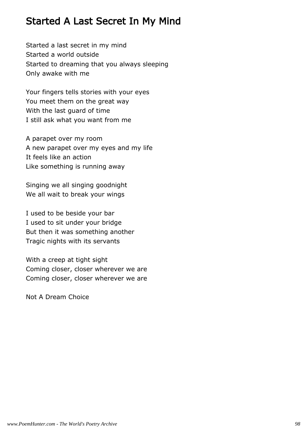# Started A Last Secret In My Mind

Started a last secret in my mind Started a world outside Started to dreaming that you always sleeping Only awake with me

Your fingers tells stories with your eyes You meet them on the great way With the last guard of time I still ask what you want from me

A parapet over my room A new parapet over my eyes and my life It feels like an action Like something is running away

Singing we all singing goodnight We all wait to break your wings

I used to be beside your bar I used to sit under your bridge But then it was something another Tragic nights with its servants

With a creep at tight sight Coming closer, closer wherever we are Coming closer, closer wherever we are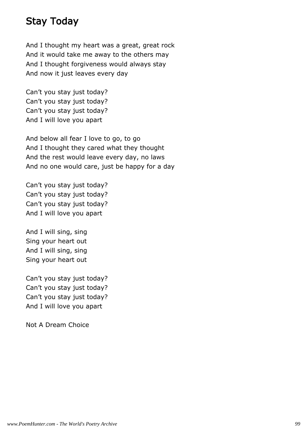#### Stay Today

And I thought my heart was a great, great rock And it would take me away to the others may And I thought forgiveness would always stay And now it just leaves every day

Can't you stay just today? Can't you stay just today? Can't you stay just today? And I will love you apart

And below all fear I love to go, to go And I thought they cared what they thought And the rest would leave every day, no laws And no one would care, just be happy for a day

Can't you stay just today? Can't you stay just today? Can't you stay just today? And I will love you apart

And I will sing, sing Sing your heart out And I will sing, sing Sing your heart out

Can't you stay just today? Can't you stay just today? Can't you stay just today? And I will love you apart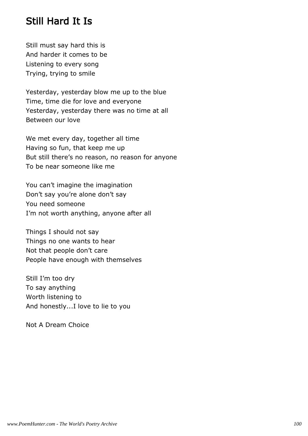# Still Hard It Is

Still must say hard this is And harder it comes to be Listening to every song Trying, trying to smile

Yesterday, yesterday blow me up to the blue Time, time die for love and everyone Yesterday, yesterday there was no time at all Between our love

We met every day, together all time Having so fun, that keep me up But still there's no reason, no reason for anyone To be near someone like me

You can't imagine the imagination Don't say you're alone don't say You need someone I'm not worth anything, anyone after all

Things I should not say Things no one wants to hear Not that people don't care People have enough with themselves

Still I'm too dry To say anything Worth listening to And honestly...I love to lie to you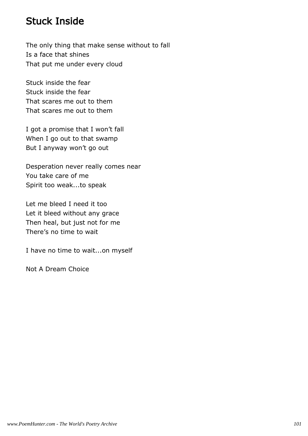# Stuck Inside

The only thing that make sense without to fall Is a face that shines That put me under every cloud

Stuck inside the fear Stuck inside the fear That scares me out to them That scares me out to them

I got a promise that I won't fall When I go out to that swamp But I anyway won't go out

Desperation never really comes near You take care of me Spirit too weak...to speak

Let me bleed I need it too Let it bleed without any grace Then heal, but just not for me There's no time to wait

I have no time to wait...on myself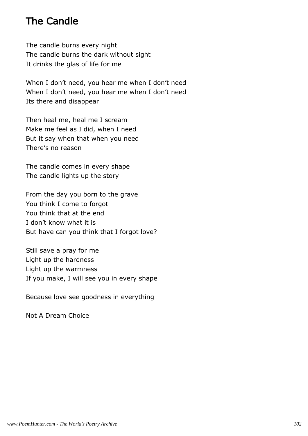# The Candle

The candle burns every night The candle burns the dark without sight It drinks the glas of life for me

When I don't need, you hear me when I don't need When I don't need, you hear me when I don't need Its there and disappear

Then heal me, heal me I scream Make me feel as I did, when I need But it say when that when you need There's no reason

The candle comes in every shape The candle lights up the story

From the day you born to the grave You think I come to forgot You think that at the end I don't know what it is But have can you think that I forgot love?

Still save a pray for me Light up the hardness Light up the warmness If you make, I will see you in every shape

Because love see goodness in everything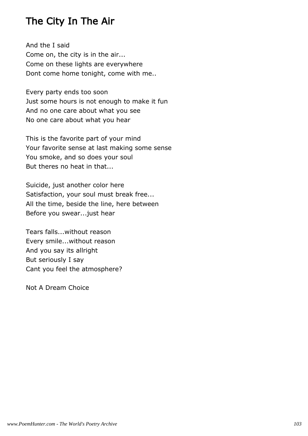# The City In The Air

And the I said Come on, the city is in the air... Come on these lights are everywhere Dont come home tonight, come with me..

Every party ends too soon Just some hours is not enough to make it fun And no one care about what you see No one care about what you hear

This is the favorite part of your mind Your favorite sense at last making some sense You smoke, and so does your soul But theres no heat in that...

Suicide, just another color here Satisfaction, your soul must break free... All the time, beside the line, here between Before you swear...just hear

Tears falls...without reason Every smile...without reason And you say its allright But seriously I say Cant you feel the atmosphere?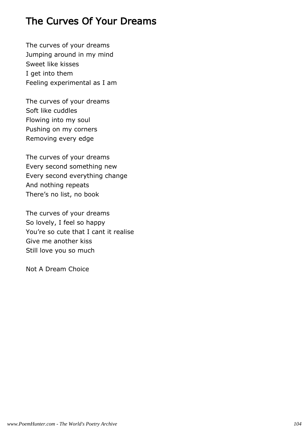# The Curves Of Your Dreams

The curves of your dreams Jumping around in my mind Sweet like kisses I get into them Feeling experimental as I am

The curves of your dreams Soft like cuddles Flowing into my soul Pushing on my corners Removing every edge

The curves of your dreams Every second something new Every second everything change And nothing repeats There's no list, no book

The curves of your dreams So lovely, I feel so happy You're so cute that I cant it realise Give me another kiss Still love you so much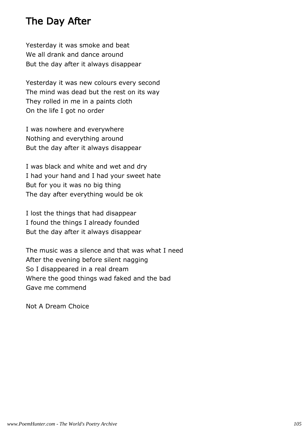# The Day After

Yesterday it was smoke and beat We all drank and dance around But the day after it always disappear

Yesterday it was new colours every second The mind was dead but the rest on its way They rolled in me in a paints cloth On the life I got no order

I was nowhere and everywhere Nothing and everything around But the day after it always disappear

I was black and white and wet and dry I had your hand and I had your sweet hate But for you it was no big thing The day after everything would be ok

I lost the things that had disappear I found the things I already founded But the day after it always disappear

The music was a silence and that was what I need After the evening before silent nagging So I disappeared in a real dream Where the good things wad faked and the bad Gave me commend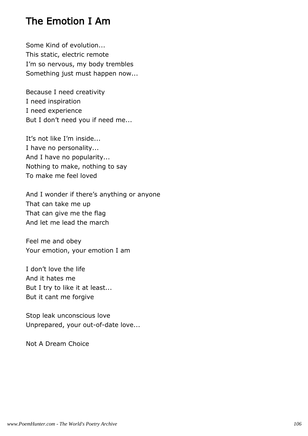# The Emotion I Am

Some Kind of evolution... This static, electric remote I'm so nervous, my body trembles Something just must happen now...

Because I need creativity I need inspiration I need experience But I don't need you if need me...

It's not like I'm inside... I have no personality... And I have no popularity... Nothing to make, nothing to say To make me feel loved

And I wonder if there's anything or anyone That can take me up That can give me the flag And let me lead the march

Feel me and obey Your emotion, your emotion I am

I don't love the life And it hates me But I try to like it at least... But it cant me forgive

Stop leak unconscious love Unprepared, your out-of-date love...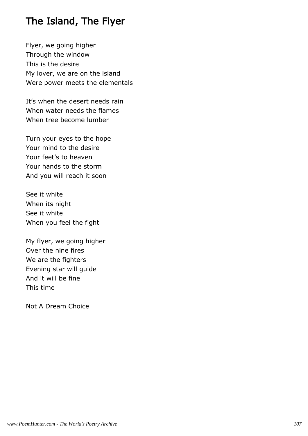# The Island, The Flyer

Flyer, we going higher Through the window This is the desire My lover, we are on the island Were power meets the elementals

It's when the desert needs rain When water needs the flames When tree become lumber

Turn your eyes to the hope Your mind to the desire Your feet's to heaven Your hands to the storm And you will reach it soon

See it white When its night See it white When you feel the fight

My flyer, we going higher Over the nine fires We are the fighters Evening star will guide And it will be fine This time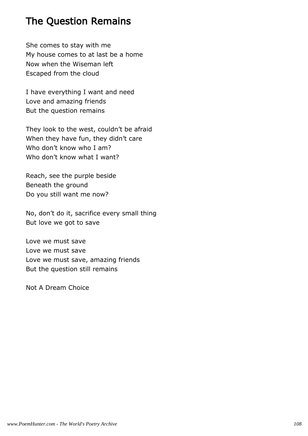# The Question Remains

She comes to stay with me My house comes to at last be a home Now when the Wiseman left Escaped from the cloud

I have everything I want and need Love and amazing friends But the question remains

They look to the west, couldn't be afraid When they have fun, they didn't care Who don't know who I am? Who don't know what I want?

Reach, see the purple beside Beneath the ground Do you still want me now?

No, don't do it, sacrifice every small thing But love we got to save

Love we must save Love we must save Love we must save, amazing friends But the question still remains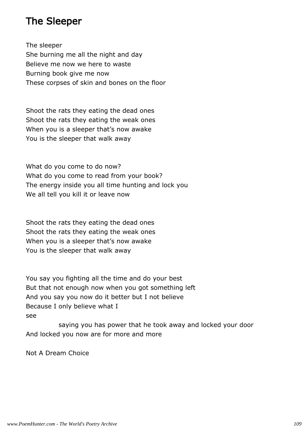# The Sleeper

The sleeper She burning me all the night and day Believe me now we here to waste Burning book give me now These corpses of skin and bones on the floor

Shoot the rats they eating the dead ones Shoot the rats they eating the weak ones When you is a sleeper that's now awake You is the sleeper that walk away

What do you come to do now? What do you come to read from your book? The energy inside you all time hunting and lock you We all tell you kill it or leave now

Shoot the rats they eating the dead ones Shoot the rats they eating the weak ones When you is a sleeper that's now awake You is the sleeper that walk away

You say you fighting all the time and do your best But that not enough now when you got something left And you say you now do it better but I not believe Because I only believe what I see

 saying you has power that he took away and locked your door And locked you now are for more and more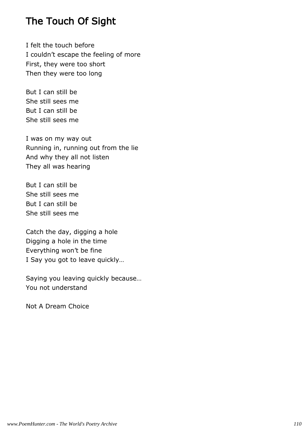# The Touch Of Sight

I felt the touch before I couldn't escape the feeling of more First, they were too short Then they were too long

But I can still be She still sees me But I can still be She still sees me

I was on my way out Running in, running out from the lie And why they all not listen They all was hearing

But I can still be She still sees me But I can still be She still sees me

Catch the day, digging a hole Digging a hole in the time Everything won't be fine I Say you got to leave quickly…

Saying you leaving quickly because… You not understand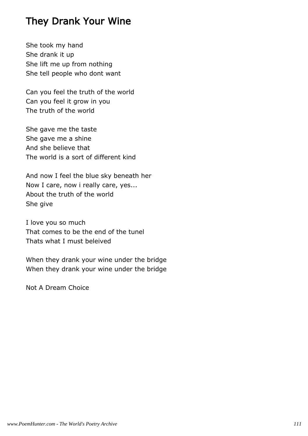# They Drank Your Wine

She took my hand She drank it up She lift me up from nothing She tell people who dont want

Can you feel the truth of the world Can you feel it grow in you The truth of the world

She gave me the taste She gave me a shine And she believe that The world is a sort of different kind

And now I feel the blue sky beneath her Now I care, now i really care, yes... About the truth of the world She give

I love you so much That comes to be the end of the tunel Thats what I must beleived

When they drank your wine under the bridge When they drank your wine under the bridge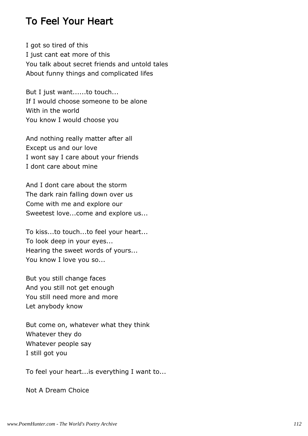# To Feel Your Heart

I got so tired of this I just cant eat more of this You talk about secret friends and untold tales About funny things and complicated lifes

But I just want......to touch... If I would choose someone to be alone With in the world You know I would choose you

And nothing really matter after all Except us and our love I wont say I care about your friends I dont care about mine

And I dont care about the storm The dark rain falling down over us Come with me and explore our Sweetest love...come and explore us...

To kiss...to touch...to feel your heart... To look deep in your eyes... Hearing the sweet words of yours... You know I love you so...

But you still change faces And you still not get enough You still need more and more Let anybody know

But come on, whatever what they think Whatever they do Whatever people say I still got you

To feel your heart...is everything I want to...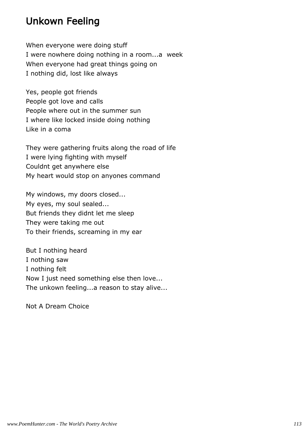### Unkown Feeling

When everyone were doing stuff I were nowhere doing nothing in a room...a week When everyone had great things going on I nothing did, lost like always

Yes, people got friends People got love and calls People where out in the summer sun I where like locked inside doing nothing Like in a coma

They were gathering fruits along the road of life I were lying fighting with myself Couldnt get anywhere else My heart would stop on anyones command

My windows, my doors closed... My eyes, my soul sealed... But friends they didnt let me sleep They were taking me out To their friends, screaming in my ear

But I nothing heard I nothing saw I nothing felt Now I just need something else then love... The unkown feeling...a reason to stay alive...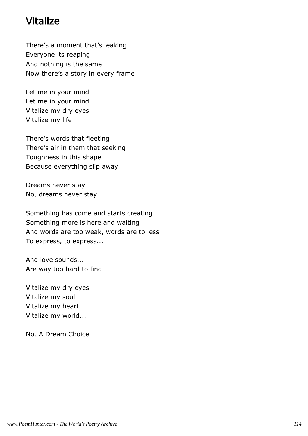# Vitalize

There's a moment that's leaking Everyone its reaping And nothing is the same Now there's a story in every frame

Let me in your mind Let me in your mind Vitalize my dry eyes Vitalize my life

There's words that fleeting There's air in them that seeking Toughness in this shape Because everything slip away

Dreams never stay No, dreams never stay...

Something has come and starts creating Something more is here and waiting And words are too weak, words are to less To express, to express...

And love sounds... Are way too hard to find

Vitalize my dry eyes Vitalize my soul Vitalize my heart Vitalize my world...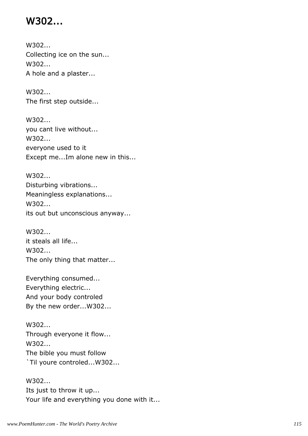# W302...

W302... Collecting ice on the sun... W302... A hole and a plaster...

W302... The first step outside...

W302... you cant live without... W302... everyone used to it Except me...Im alone new in this...

W302... Disturbing vibrations... Meaningless explanations... W302... its out but unconscious anyway...

W302... it steals all life... W302... The only thing that matter...

Everything consumed... Everything electric... And your body controled By the new order...W302...

W302... Through everyone it flow... W302... The bible you must follow `Til youre controled...W302...

W302... Its just to throw it up... Your life and everything you done with it...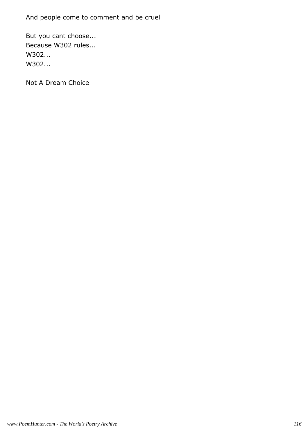And people come to comment and be cruel

But you cant choose... Because W302 rules... W302... W302...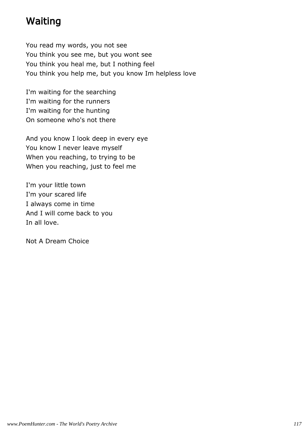# Waiting

You read my words, you not see You think you see me, but you wont see You think you heal me, but I nothing feel You think you help me, but you know Im helpless love

I'm waiting for the searching I'm waiting for the runners I'm waiting for the hunting On someone who's not there

And you know I look deep in every eye You know I never leave myself When you reaching, to trying to be When you reaching, just to feel me

I'm your little town I'm your scared life I always come in time And I will come back to you In all love.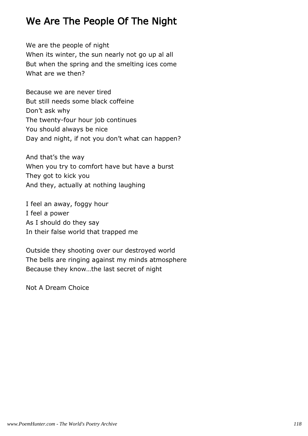# We Are The People Of The Night

We are the people of night When its winter, the sun nearly not go up al all But when the spring and the smelting ices come What are we then?

Because we are never tired But still needs some black coffeine Don't ask why The twenty-four hour job continues You should always be nice Day and night, if not you don't what can happen?

And that's the way When you try to comfort have but have a burst They got to kick you And they, actually at nothing laughing

I feel an away, foggy hour I feel a power As I should do they say In their false world that trapped me

Outside they shooting over our destroyed world The bells are ringing against my minds atmosphere Because they know…the last secret of night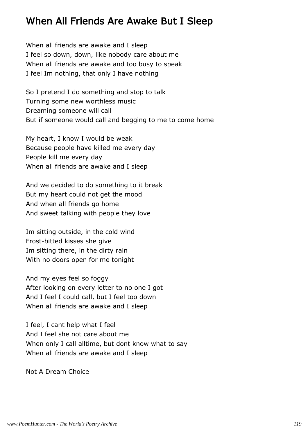### When All Friends Are Awake But I Sleep

When all friends are awake and I sleep I feel so down, down, like nobody care about me When all friends are awake and too busy to speak I feel Im nothing, that only I have nothing

So I pretend I do something and stop to talk Turning some new worthless music Dreaming someone will call But if someone would call and begging to me to come home

My heart, I know I would be weak Because people have killed me every day People kill me every day When all friends are awake and I sleep

And we decided to do something to it break But my heart could not get the mood And when all friends go home And sweet talking with people they love

Im sitting outside, in the cold wind Frost-bitted kisses she give Im sitting there, in the dirty rain With no doors open for me tonight

And my eyes feel so foggy After looking on every letter to no one I got And I feel I could call, but I feel too down When all friends are awake and I sleep

I feel, I cant help what I feel And I feel she not care about me When only I call alltime, but dont know what to say When all friends are awake and I sleep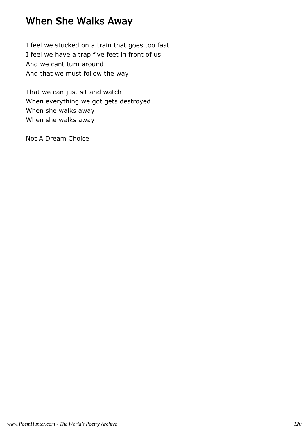### When She Walks Away

I feel we stucked on a train that goes too fast I feel we have a trap five feet in front of us And we cant turn around And that we must follow the way

That we can just sit and watch When everything we got gets destroyed When she walks away When she walks away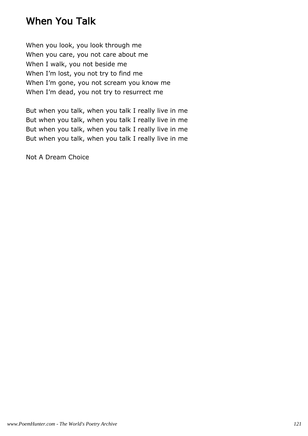## When You Talk

When you look, you look through me When you care, you not care about me When I walk, you not beside me When I'm lost, you not try to find me When I'm gone, you not scream you know me When I'm dead, you not try to resurrect me

But when you talk, when you talk I really live in me But when you talk, when you talk I really live in me But when you talk, when you talk I really live in me But when you talk, when you talk I really live in me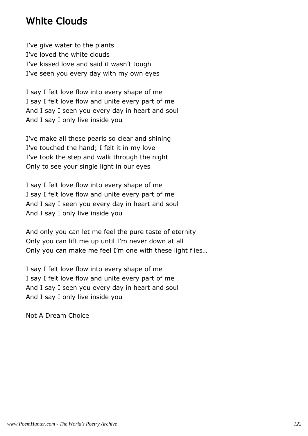#### White Clouds

I've give water to the plants I've loved the white clouds I've kissed love and said it wasn't tough I've seen you every day with my own eyes

I say I felt love flow into every shape of me I say I felt love flow and unite every part of me And I say I seen you every day in heart and soul And I say I only live inside you

I've make all these pearls so clear and shining I've touched the hand; I felt it in my love I've took the step and walk through the night Only to see your single light in our eyes

I say I felt love flow into every shape of me I say I felt love flow and unite every part of me And I say I seen you every day in heart and soul And I say I only live inside you

And only you can let me feel the pure taste of eternity Only you can lift me up until I'm never down at all Only you can make me feel I'm one with these light flies…

I say I felt love flow into every shape of me I say I felt love flow and unite every part of me And I say I seen you every day in heart and soul And I say I only live inside you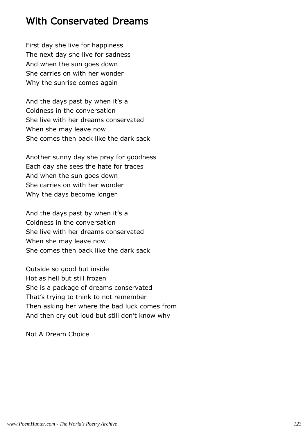#### With Conservated Dreams

First day she live for happiness The next day she live for sadness And when the sun goes down She carries on with her wonder Why the sunrise comes again

And the days past by when it's a Coldness in the conversation She live with her dreams conservated When she may leave now She comes then back like the dark sack

Another sunny day she pray for goodness Each day she sees the hate for traces And when the sun goes down She carries on with her wonder Why the days become longer

And the days past by when it's a Coldness in the conversation She live with her dreams conservated When she may leave now She comes then back like the dark sack

Outside so good but inside Hot as hell but still frozen She is a package of dreams conservated That's trying to think to not remember Then asking her where the bad luck comes from And then cry out loud but still don't know why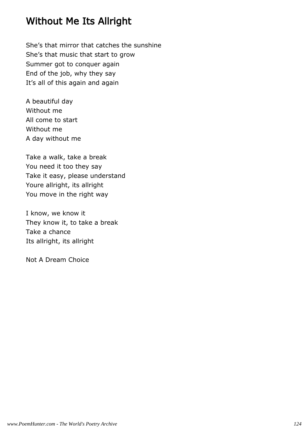## Without Me Its Allright

She's that mirror that catches the sunshine She's that music that start to grow Summer got to conquer again End of the job, why they say It's all of this again and again

A beautiful day Without me All come to start Without me A day without me

Take a walk, take a break You need it too they say Take it easy, please understand Youre allright, its allright You move in the right way

I know, we know it They know it, to take a break Take a chance Its allright, its allright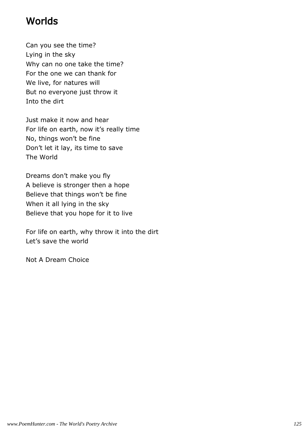# **Worlds**

Can you see the time? Lying in the sky Why can no one take the time? For the one we can thank for We live, for natures will But no everyone just throw it Into the dirt

Just make it now and hear For life on earth, now it's really time No, things won't be fine Don't let it lay, its time to save The World

Dreams don't make you fly A believe is stronger then a hope Believe that things won't be fine When it all lying in the sky Believe that you hope for it to live

For life on earth, why throw it into the dirt Let's save the world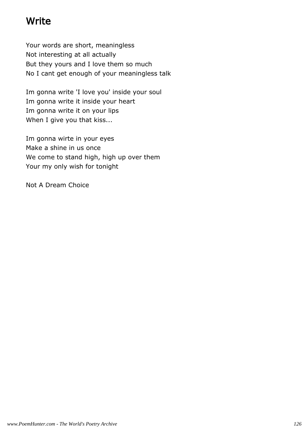### Write

Your words are short, meaningless Not interesting at all actually But they yours and I love them so much No I cant get enough of your meaningless talk

Im gonna write 'I love you' inside your soul Im gonna write it inside your heart Im gonna write it on your lips When I give you that kiss...

Im gonna wirte in your eyes Make a shine in us once We come to stand high, high up over them Your my only wish for tonight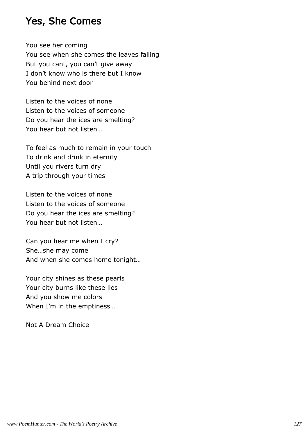### Yes, She Comes

You see her coming You see when she comes the leaves falling But you cant, you can't give away I don't know who is there but I know You behind next door

Listen to the voices of none Listen to the voices of someone Do you hear the ices are smelting? You hear but not listen…

To feel as much to remain in your touch To drink and drink in eternity Until you rivers turn dry A trip through your times

Listen to the voices of none Listen to the voices of someone Do you hear the ices are smelting? You hear but not listen…

Can you hear me when I cry? She…she may come And when she comes home tonight…

Your city shines as these pearls Your city burns like these lies And you show me colors When I'm in the emptiness…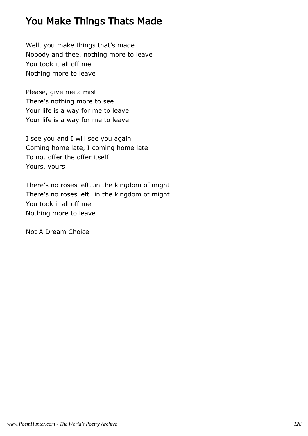# You Make Things Thats Made

Well, you make things that's made Nobody and thee, nothing more to leave You took it all off me Nothing more to leave

Please, give me a mist There's nothing more to see Your life is a way for me to leave Your life is a way for me to leave

I see you and I will see you again Coming home late, I coming home late To not offer the offer itself Yours, yours

There's no roses left…in the kingdom of might There's no roses left…in the kingdom of might You took it all off me Nothing more to leave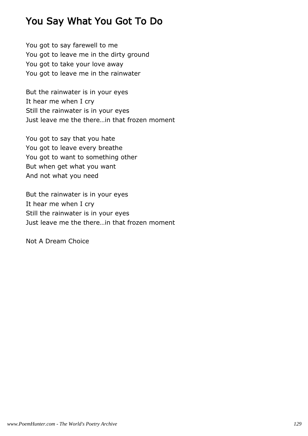# You Say What You Got To Do

You got to say farewell to me You got to leave me in the dirty ground You got to take your love away You got to leave me in the rainwater

But the rainwater is in your eyes It hear me when I cry Still the rainwater is in your eyes Just leave me the there…in that frozen moment

You got to say that you hate You got to leave every breathe You got to want to something other But when get what you want And not what you need

But the rainwater is in your eyes It hear me when I cry Still the rainwater is in your eyes Just leave me the there…in that frozen moment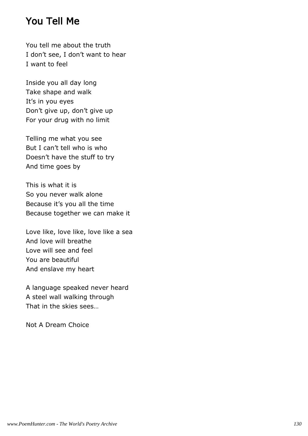### You Tell Me

You tell me about the truth I don't see, I don't want to hear I want to feel

Inside you all day long Take shape and walk It's in you eyes Don't give up, don't give up For your drug with no limit

Telling me what you see But I can't tell who is who Doesn't have the stuff to try And time goes by

This is what it is So you never walk alone Because it's you all the time Because together we can make it

Love like, love like, love like a sea And love will breathe Love will see and feel You are beautiful And enslave my heart

A language speaked never heard A steel wall walking through That in the skies sees…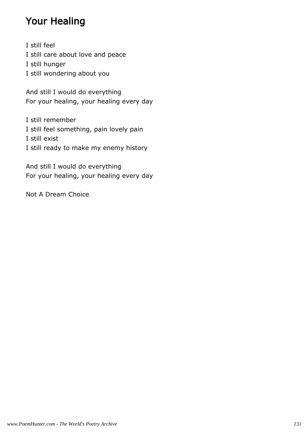# Your Healing

I still feel I still care about love and peace I still hunger I still wondering about you

And still I would do everything For your healing, your healing every day

I still remember I still feel something, pain lovely pain I still exist I still ready to make my enemy history

And still I would do everything For your healing, your healing every day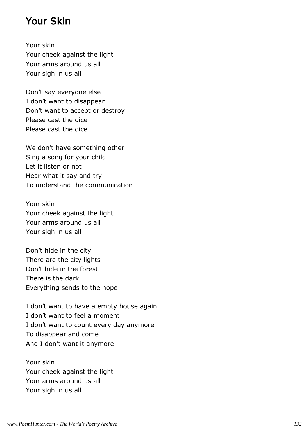### Your Skin

Your skin Your cheek against the light Your arms around us all Your sigh in us all

Don't say everyone else I don't want to disappear Don't want to accept or destroy Please cast the dice Please cast the dice

We don't have something other Sing a song for your child Let it listen or not Hear what it say and try To understand the communication

Your skin Your cheek against the light Your arms around us all Your sigh in us all

Don't hide in the city There are the city lights Don't hide in the forest There is the dark Everything sends to the hope

I don't want to have a empty house again I don't want to feel a moment I don't want to count every day anymore To disappear and come And I don't want it anymore

Your skin Your cheek against the light Your arms around us all Your sigh in us all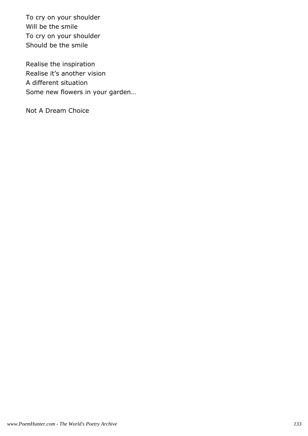To cry on your shoulder Will be the smile To cry on your shoulder Should be the smile

Realise the inspiration Realise it's another vision A different situation Some new flowers in your garden…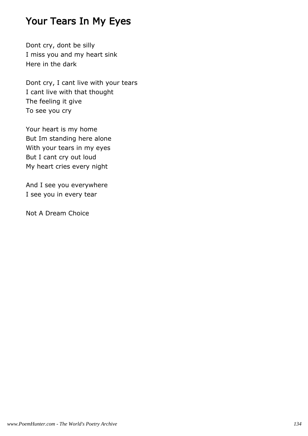## Your Tears In My Eyes

Dont cry, dont be silly I miss you and my heart sink Here in the dark

Dont cry, I cant live with your tears I cant live with that thought The feeling it give To see you cry

Your heart is my home But Im standing here alone With your tears in my eyes But I cant cry out loud My heart cries every night

And I see you everywhere I see you in every tear